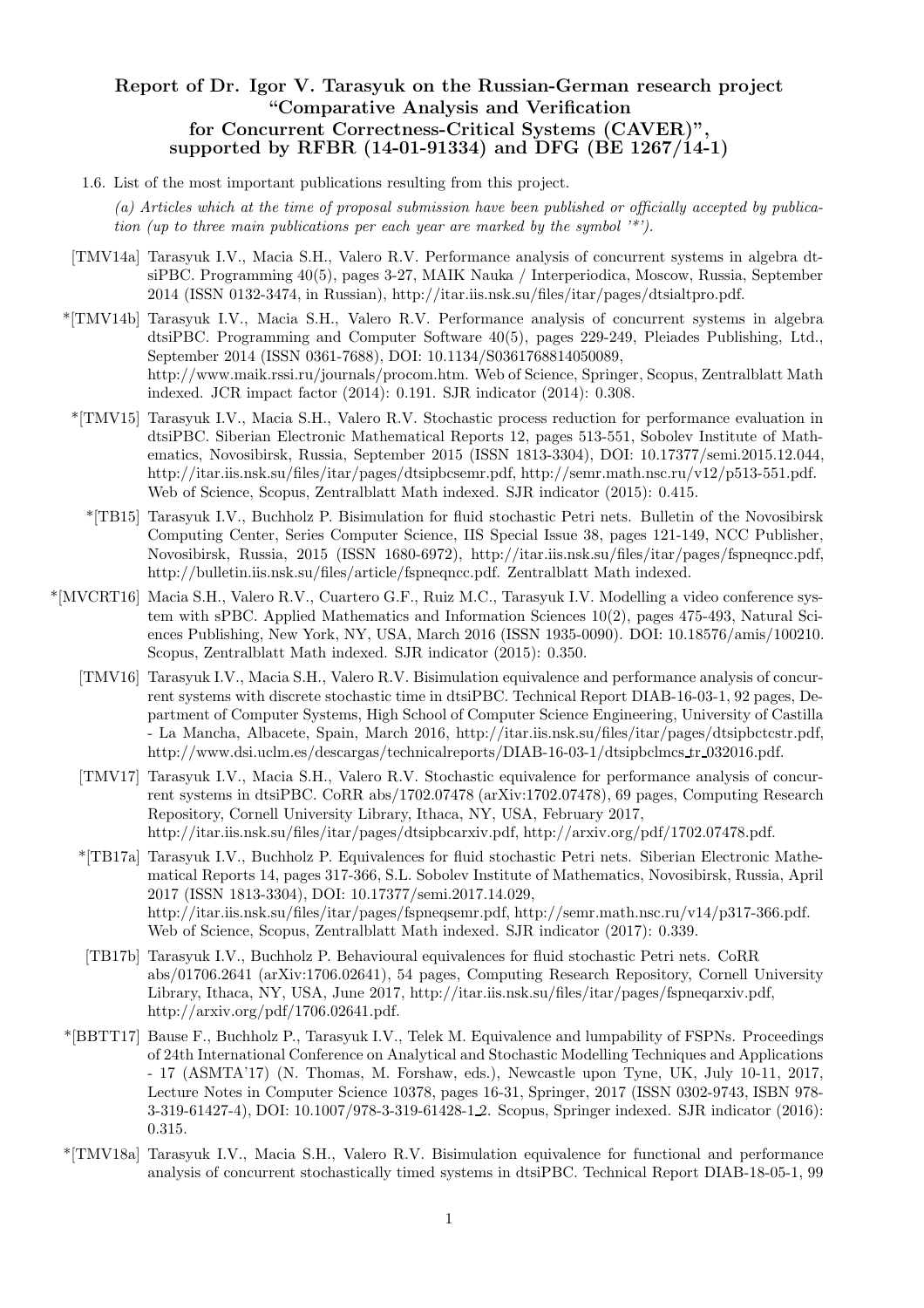# Report of Dr. Igor V. Tarasyuk on the Russian-German research project "Comparative Analysis and Verification for Concurrent Correctness-Critical Systems (CAVER)" supported by RFBR (14-01-91334) and DFG (BE 1267/14-1)

- 1.6. List of the most important publications resulting from this project.
	- (a) Articles which at the time of proposal submission have been published or officially accepted by publication (up to three main publications per each year are marked by the symbol  $\lambda^*$ ).
- [TMV14a] Tarasyuk I.V., Macia S.H., Valero R.V. Performance analysis of concurrent systems in algebra dtsiPBC. Programming 40(5), pages 3-27, MAIK Nauka / Interperiodica, Moscow, Russia, September 2014 (ISSN 0132-3474, in Russian), http://itar.iis.nsk.su/files/itar/pages/dtsialtpro.pdf.
- \*[TMV14b] Tarasyuk I.V., Macia S.H., Valero R.V. Performance analysis of concurrent systems in algebra dtsiPBC. Programming and Computer Software 40(5), pages 229-249, Pleiades Publishing, Ltd., September 2014 (ISSN 0361-7688), DOI: 10.1134/S0361768814050089, http://www.maik.rssi.ru/journals/procom.htm. Web of Science, Springer, Scopus, Zentralblatt Math indexed. JCR impact factor (2014): 0.191. SJR indicator (2014): 0.308.
	- \*[TMV15] Tarasyuk I.V., Macia S.H., Valero R.V. Stochastic process reduction for performance evaluation in dtsiPBC. Siberian Electronic Mathematical Reports 12, pages 513-551, Sobolev Institute of Mathematics, Novosibirsk, Russia, September 2015 (ISSN 1813-3304), DOI: 10.17377/semi.2015.12.044, http://itar.iis.nsk.su/files/itar/pages/dtsipbcsemr.pdf, http://semr.math.nsc.ru/v12/p513-551.pdf. Web of Science, Scopus, Zentralblatt Math indexed. SJR indicator (2015): 0.415.
		- \*[TB15] Tarasyuk I.V., Buchholz P. Bisimulation for fluid stochastic Petri nets. Bulletin of the Novosibirsk Computing Center, Series Computer Science, IIS Special Issue 38, pages 121-149, NCC Publisher, Novosibirsk, Russia, 2015 (ISSN 1680-6972), http://itar.iis.nsk.su/files/itar/pages/fspneqncc.pdf, http://bulletin.iis.nsk.su/files/article/fspneqncc.pdf. Zentralblatt Math indexed.
- \*[MVCRT16] Macia S.H., Valero R.V., Cuartero G.F., Ruiz M.C., Tarasyuk I.V. Modelling a video conference system with sPBC. Applied Mathematics and Information Sciences 10(2), pages 475-493, Natural Sciences Publishing, New York, NY, USA, March 2016 (ISSN 1935-0090). DOI: 10.18576/amis/100210. Scopus, Zentralblatt Math indexed. SJR indicator (2015): 0.350.
	- [TMV16] Tarasyuk I.V., Macia S.H., Valero R.V. Bisimulation equivalence and performance analysis of concurrent systems with discrete stochastic time in dtsiPBC. Technical Report DIAB-16-03-1, 92 pages, Department of Computer Systems, High School of Computer Science Engineering, University of Castilla - La Mancha, Albacete, Spain, March 2016, http://itar.iis.nsk.su/files/itar/pages/dtsipbctcstr.pdf, http://www.dsi.uclm.es/descargas/technicalreports/DIAB-16-03-1/dtsipbclmcs tr 032016.pdf.
	- [TMV17] Tarasyuk I.V., Macia S.H., Valero R.V. Stochastic equivalence for performance analysis of concurrent systems in dtsiPBC. CoRR abs/1702.07478 (arXiv:1702.07478), 69 pages, Computing Research Repository, Cornell University Library, Ithaca, NY, USA, February 2017, http://itar.iis.nsk.su/files/itar/pages/dtsipbcarxiv.pdf, http://arxiv.org/pdf/1702.07478.pdf.
	- \*[TB17a] Tarasyuk I.V., Buchholz P. Equivalences for fluid stochastic Petri nets. Siberian Electronic Mathematical Reports 14, pages 317-366, S.L. Sobolev Institute of Mathematics, Novosibirsk, Russia, April 2017 (ISSN 1813-3304), DOI: 10.17377/semi.2017.14.029, http://itar.iis.nsk.su/files/itar/pages/fspneqsemr.pdf, http://semr.math.nsc.ru/v14/p317-366.pdf. Web of Science, Scopus, Zentralblatt Math indexed. SJR indicator (2017): 0.339.
	- [TB17b] Tarasyuk I.V., Buchholz P. Behavioural equivalences for fluid stochastic Petri nets. CoRR abs/01706.2641 (arXiv:1706.02641), 54 pages, Computing Research Repository, Cornell University Library, Ithaca, NY, USA, June 2017, http://itar.iis.nsk.su/files/itar/pages/fspneqarxiv.pdf, http://arxiv.org/pdf/1706.02641.pdf.
	- \*[BBTT17] Bause F., Buchholz P., Tarasyuk I.V., Telek M. Equivalence and lumpability of FSPNs. Proceedings of 24th International Conference on Analytical and Stochastic Modelling Techniques and Applications - 17 (ASMTA'17) (N. Thomas, M. Forshaw, eds.), Newcastle upon Tyne, UK, July 10-11, 2017, Lecture Notes in Computer Science 10378, pages 16-31, Springer, 2017 (ISSN 0302-9743, ISBN 978- 3-319-61427-4), DOI: 10.1007/978-3-319-61428-1 2. Scopus, Springer indexed. SJR indicator (2016): 0.315.
	- \*[TMV18a] Tarasyuk I.V., Macia S.H., Valero R.V. Bisimulation equivalence for functional and performance analysis of concurrent stochastically timed systems in dtsiPBC. Technical Report DIAB-18-05-1, 99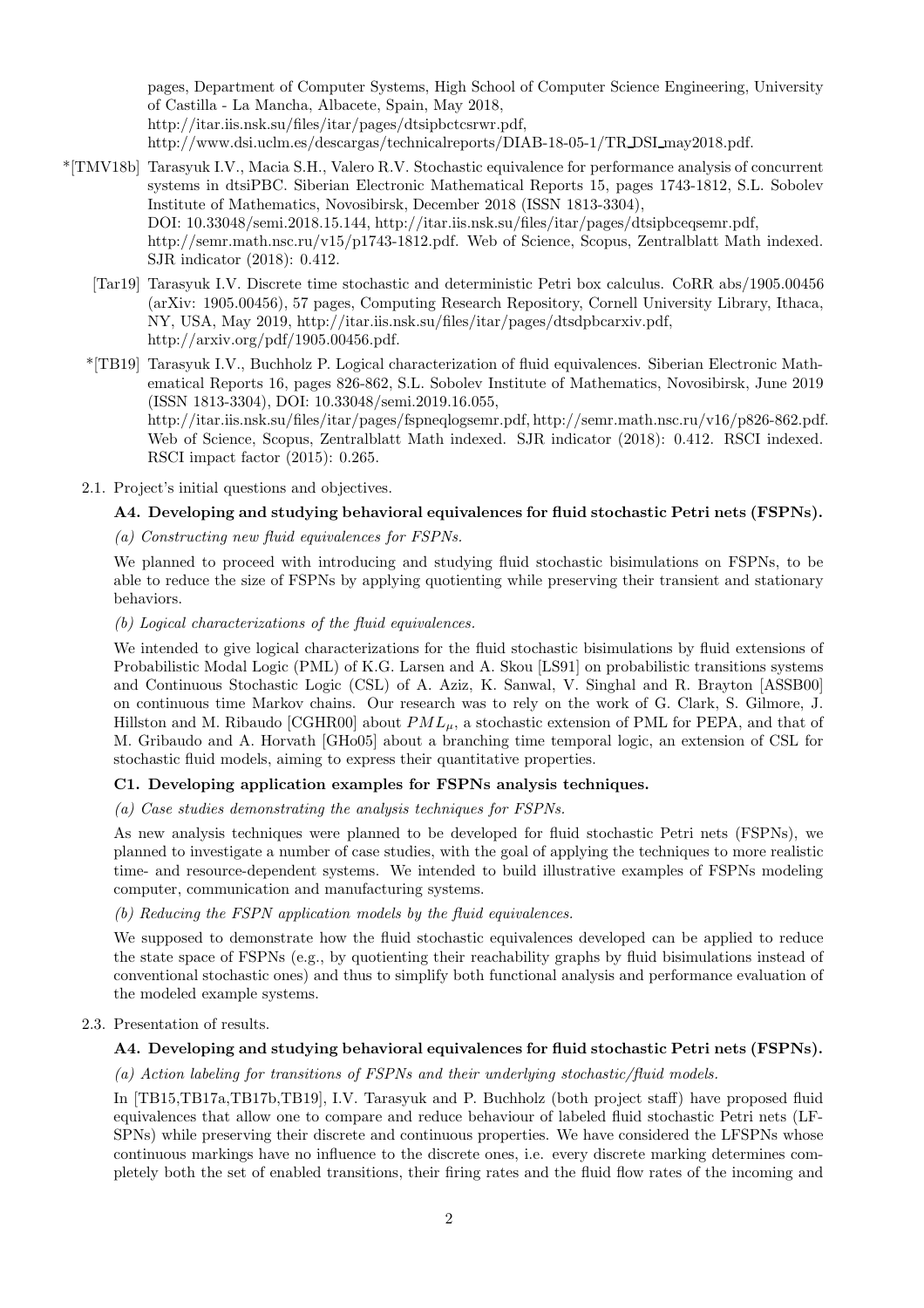pages, Department of Computer Systems, High School of Computer Science Engineering, University of Castilla - La Mancha, Albacete, Spain, May 2018, http://itar.iis.nsk.su/files/itar/pages/dtsipbctcsrwr.pdf, http://www.dsi.uclm.es/descargas/technicalreports/DIAB-18-05-1/TR DSI may2018.pdf.

- \*[TMV18b] Tarasyuk I.V., Macia S.H., Valero R.V. Stochastic equivalence for performance analysis of concurrent systems in dtsiPBC. Siberian Electronic Mathematical Reports 15, pages 1743-1812, S.L. Sobolev Institute of Mathematics, Novosibirsk, December 2018 (ISSN 1813-3304), DOI: 10.33048/semi.2018.15.144, http://itar.iis.nsk.su/files/itar/pages/dtsipbceqsemr.pdf, http://semr.math.nsc.ru/v15/p1743-1812.pdf. Web of Science, Scopus, Zentralblatt Math indexed. SJR indicator (2018): 0.412.
	- [Tar19] Tarasyuk I.V. Discrete time stochastic and deterministic Petri box calculus. CoRR abs/1905.00456 (arXiv: 1905.00456), 57 pages, Computing Research Repository, Cornell University Library, Ithaca, NY, USA, May 2019, http://itar.iis.nsk.su/files/itar/pages/dtsdpbcarxiv.pdf, http://arxiv.org/pdf/1905.00456.pdf.
	- \*[TB19] Tarasyuk I.V., Buchholz P. Logical characterization of fluid equivalences. Siberian Electronic Mathematical Reports 16, pages 826-862, S.L. Sobolev Institute of Mathematics, Novosibirsk, June 2019 (ISSN 1813-3304), DOI: 10.33048/semi.2019.16.055, http://itar.iis.nsk.su/files/itar/pages/fspneqlogsemr.pdf, http://semr.math.nsc.ru/v16/p826-862.pdf. Web of Science, Scopus, Zentralblatt Math indexed. SJR indicator (2018): 0.412. RSCI indexed. RSCI impact factor (2015): 0.265.
	- 2.1. Project's initial questions and objectives.

## A4. Developing and studying behavioral equivalences for fluid stochastic Petri nets (FSPNs).

## (a) Constructing new fluid equivalences for FSPNs.

We planned to proceed with introducing and studying fluid stochastic bisimulations on FSPNs, to be able to reduce the size of FSPNs by applying quotienting while preserving their transient and stationary behaviors.

(b) Logical characterizations of the fluid equivalences.

We intended to give logical characterizations for the fluid stochastic bisimulations by fluid extensions of Probabilistic Modal Logic (PML) of K.G. Larsen and A. Skou [LS91] on probabilistic transitions systems and Continuous Stochastic Logic (CSL) of A. Aziz, K. Sanwal, V. Singhal and R. Brayton [ASSB00] on continuous time Markov chains. Our research was to rely on the work of G. Clark, S. Gilmore, J. Hillston and M. Ribaudo [CGHR00] about  $PML<sub>\mu</sub>$ , a stochastic extension of PML for PEPA, and that of M. Gribaudo and A. Horvath [GHo05] about a branching time temporal logic, an extension of CSL for stochastic fluid models, aiming to express their quantitative properties.

## C1. Developing application examples for FSPNs analysis techniques.

(a) Case studies demonstrating the analysis techniques for FSPNs.

As new analysis techniques were planned to be developed for fluid stochastic Petri nets (FSPNs), we planned to investigate a number of case studies, with the goal of applying the techniques to more realistic time- and resource-dependent systems. We intended to build illustrative examples of FSPNs modeling computer, communication and manufacturing systems.

(b) Reducing the FSPN application models by the fluid equivalences.

We supposed to demonstrate how the fluid stochastic equivalences developed can be applied to reduce the state space of FSPNs (e.g., by quotienting their reachability graphs by fluid bisimulations instead of conventional stochastic ones) and thus to simplify both functional analysis and performance evaluation of the modeled example systems.

## 2.3. Presentation of results.

## A4. Developing and studying behavioral equivalences for fluid stochastic Petri nets (FSPNs).

## (a) Action labeling for transitions of FSPNs and their underlying stochastic/fluid models.

In [TB15,TB17a,TB17b,TB19], I.V. Tarasyuk and P. Buchholz (both project staff) have proposed fluid equivalences that allow one to compare and reduce behaviour of labeled fluid stochastic Petri nets (LF-SPNs) while preserving their discrete and continuous properties. We have considered the LFSPNs whose continuous markings have no influence to the discrete ones, i.e. every discrete marking determines completely both the set of enabled transitions, their firing rates and the fluid flow rates of the incoming and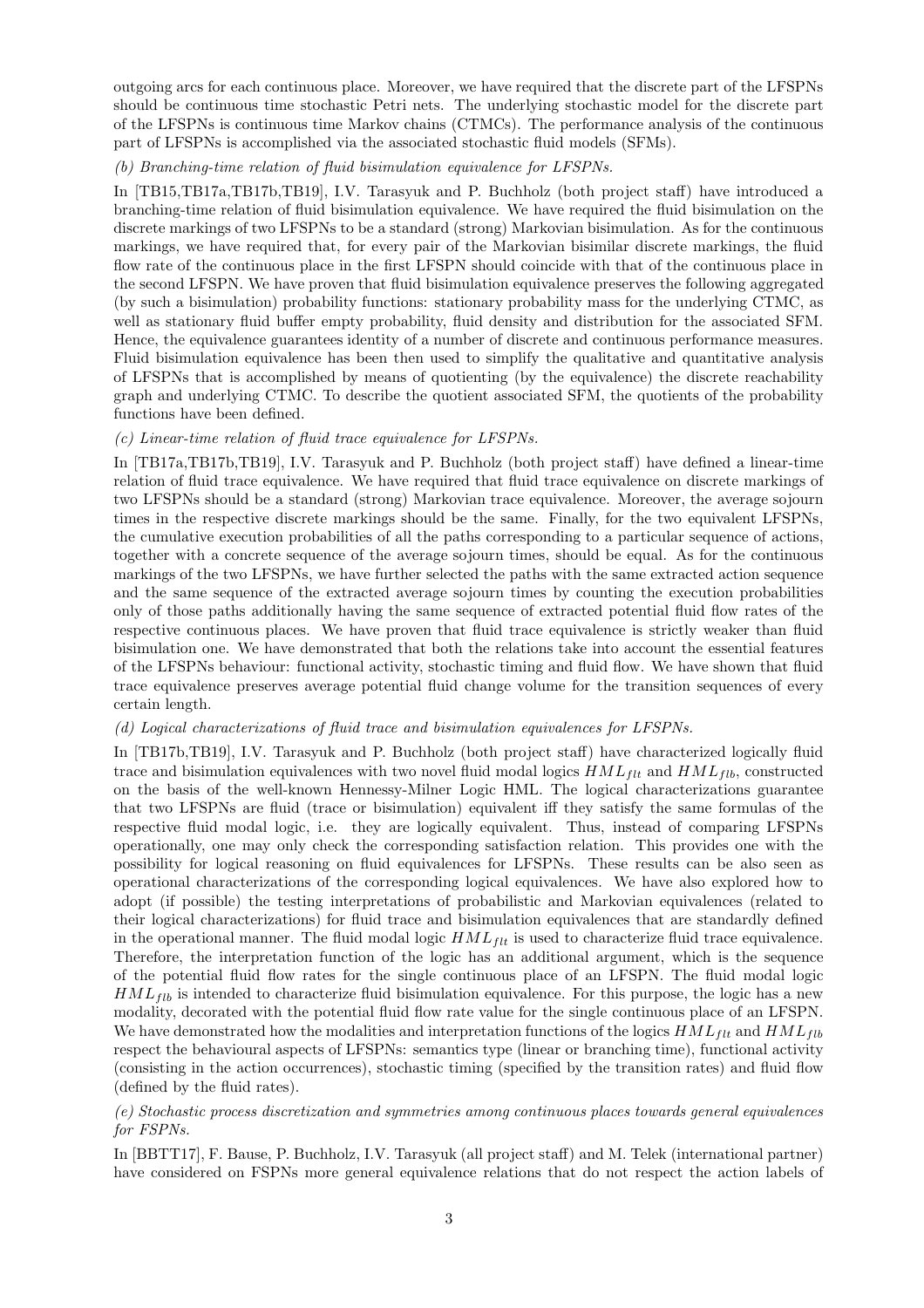outgoing arcs for each continuous place. Moreover, we have required that the discrete part of the LFSPNs should be continuous time stochastic Petri nets. The underlying stochastic model for the discrete part of the LFSPNs is continuous time Markov chains (CTMCs). The performance analysis of the continuous part of LFSPNs is accomplished via the associated stochastic fluid models (SFMs).

#### (b) Branching-time relation of fluid bisimulation equivalence for LFSPNs.

In [TB15,TB17a,TB17b,TB19], I.V. Tarasyuk and P. Buchholz (both project staff) have introduced a branching-time relation of fluid bisimulation equivalence. We have required the fluid bisimulation on the discrete markings of two LFSPNs to be a standard (strong) Markovian bisimulation. As for the continuous markings, we have required that, for every pair of the Markovian bisimilar discrete markings, the fluid flow rate of the continuous place in the first LFSPN should coincide with that of the continuous place in the second LFSPN. We have proven that fluid bisimulation equivalence preserves the following aggregated (by such a bisimulation) probability functions: stationary probability mass for the underlying CTMC, as well as stationary fluid buffer empty probability, fluid density and distribution for the associated SFM. Hence, the equivalence guarantees identity of a number of discrete and continuous performance measures. Fluid bisimulation equivalence has been then used to simplify the qualitative and quantitative analysis of LFSPNs that is accomplished by means of quotienting (by the equivalence) the discrete reachability graph and underlying CTMC. To describe the quotient associated SFM, the quotients of the probability functions have been defined.

## (c) Linear-time relation of fluid trace equivalence for LFSPNs.

In [TB17a,TB17b,TB19], I.V. Tarasyuk and P. Buchholz (both project staff) have defined a linear-time relation of fluid trace equivalence. We have required that fluid trace equivalence on discrete markings of two LFSPNs should be a standard (strong) Markovian trace equivalence. Moreover, the average sojourn times in the respective discrete markings should be the same. Finally, for the two equivalent LFSPNs, the cumulative execution probabilities of all the paths corresponding to a particular sequence of actions, together with a concrete sequence of the average sojourn times, should be equal. As for the continuous markings of the two LFSPNs, we have further selected the paths with the same extracted action sequence and the same sequence of the extracted average sojourn times by counting the execution probabilities only of those paths additionally having the same sequence of extracted potential fluid flow rates of the respective continuous places. We have proven that fluid trace equivalence is strictly weaker than fluid bisimulation one. We have demonstrated that both the relations take into account the essential features of the LFSPNs behaviour: functional activity, stochastic timing and fluid flow. We have shown that fluid trace equivalence preserves average potential fluid change volume for the transition sequences of every certain length.

## (d) Logical characterizations of fluid trace and bisimulation equivalences for LFSPNs.

In [TB17b,TB19], I.V. Tarasyuk and P. Buchholz (both project staff) have characterized logically fluid trace and bisimulation equivalences with two novel fluid modal logics  $HML_{flt}$  and  $HML_{fib}$ , constructed on the basis of the well-known Hennessy-Milner Logic HML. The logical characterizations guarantee that two LFSPNs are fluid (trace or bisimulation) equivalent iff they satisfy the same formulas of the respective fluid modal logic, i.e. they are logically equivalent. Thus, instead of comparing LFSPNs operationally, one may only check the corresponding satisfaction relation. This provides one with the possibility for logical reasoning on fluid equivalences for LFSPNs. These results can be also seen as operational characterizations of the corresponding logical equivalences. We have also explored how to adopt (if possible) the testing interpretations of probabilistic and Markovian equivalences (related to their logical characterizations) for fluid trace and bisimulation equivalences that are standardly defined in the operational manner. The fluid modal logic  $HML_{ft}$  is used to characterize fluid trace equivalence. Therefore, the interpretation function of the logic has an additional argument, which is the sequence of the potential fluid flow rates for the single continuous place of an LFSPN. The fluid modal logic  $HML_{fib}$  is intended to characterize fluid bisimulation equivalence. For this purpose, the logic has a new modality, decorated with the potential fluid flow rate value for the single continuous place of an LFSPN. We have demonstrated how the modalities and interpretation functions of the logics  $HML_{ft}$  and  $HML_{fib}$ respect the behavioural aspects of LFSPNs: semantics type (linear or branching time), functional activity (consisting in the action occurrences), stochastic timing (specified by the transition rates) and fluid flow (defined by the fluid rates).

(e) Stochastic process discretization and symmetries among continuous places towards general equivalences for FSPNs.

In [BBTT17], F. Bause, P. Buchholz, I.V. Tarasyuk (all project staff) and M. Telek (international partner) have considered on FSPNs more general equivalence relations that do not respect the action labels of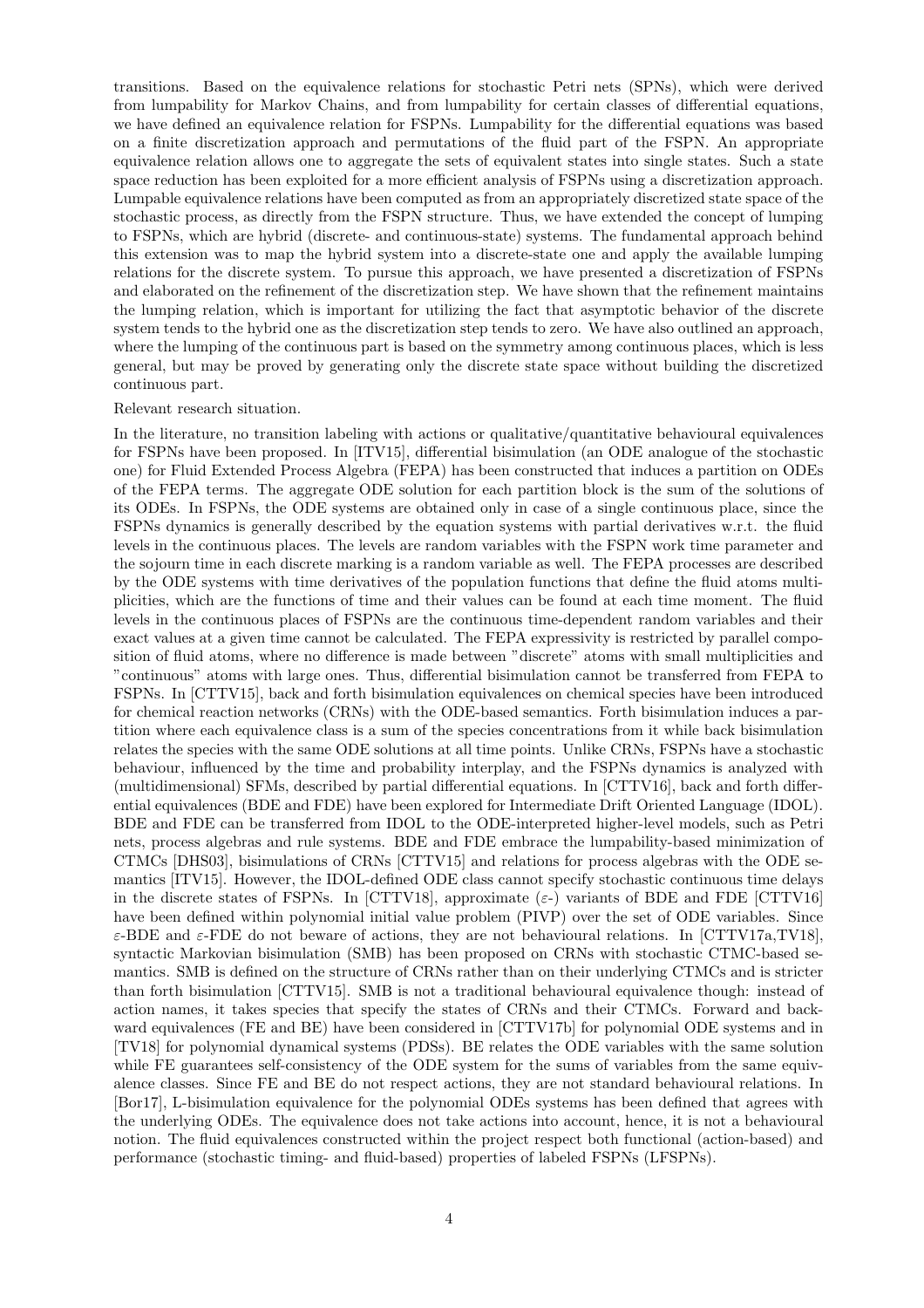transitions. Based on the equivalence relations for stochastic Petri nets (SPNs), which were derived from lumpability for Markov Chains, and from lumpability for certain classes of differential equations, we have defined an equivalence relation for FSPNs. Lumpability for the differential equations was based on a finite discretization approach and permutations of the fluid part of the FSPN. An appropriate equivalence relation allows one to aggregate the sets of equivalent states into single states. Such a state space reduction has been exploited for a more efficient analysis of FSPNs using a discretization approach. Lumpable equivalence relations have been computed as from an appropriately discretized state space of the stochastic process, as directly from the FSPN structure. Thus, we have extended the concept of lumping to FSPNs, which are hybrid (discrete- and continuous-state) systems. The fundamental approach behind this extension was to map the hybrid system into a discrete-state one and apply the available lumping relations for the discrete system. To pursue this approach, we have presented a discretization of FSPNs and elaborated on the refinement of the discretization step. We have shown that the refinement maintains the lumping relation, which is important for utilizing the fact that asymptotic behavior of the discrete system tends to the hybrid one as the discretization step tends to zero. We have also outlined an approach, where the lumping of the continuous part is based on the symmetry among continuous places, which is less general, but may be proved by generating only the discrete state space without building the discretized continuous part.

#### Relevant research situation.

In the literature, no transition labeling with actions or qualitative/quantitative behavioural equivalences for FSPNs have been proposed. In [ITV15], differential bisimulation (an ODE analogue of the stochastic one) for Fluid Extended Process Algebra (FEPA) has been constructed that induces a partition on ODEs of the FEPA terms. The aggregate ODE solution for each partition block is the sum of the solutions of its ODEs. In FSPNs, the ODE systems are obtained only in case of a single continuous place, since the FSPNs dynamics is generally described by the equation systems with partial derivatives w.r.t. the fluid levels in the continuous places. The levels are random variables with the FSPN work time parameter and the sojourn time in each discrete marking is a random variable as well. The FEPA processes are described by the ODE systems with time derivatives of the population functions that define the fluid atoms multiplicities, which are the functions of time and their values can be found at each time moment. The fluid levels in the continuous places of FSPNs are the continuous time-dependent random variables and their exact values at a given time cannot be calculated. The FEPA expressivity is restricted by parallel composition of fluid atoms, where no difference is made between "discrete" atoms with small multiplicities and "continuous" atoms with large ones. Thus, differential bisimulation cannot be transferred from FEPA to FSPNs. In [CTTV15], back and forth bisimulation equivalences on chemical species have been introduced for chemical reaction networks (CRNs) with the ODE-based semantics. Forth bisimulation induces a partition where each equivalence class is a sum of the species concentrations from it while back bisimulation relates the species with the same ODE solutions at all time points. Unlike CRNs, FSPNs have a stochastic behaviour, influenced by the time and probability interplay, and the FSPNs dynamics is analyzed with (multidimensional) SFMs, described by partial differential equations. In [CTTV16], back and forth differential equivalences (BDE and FDE) have been explored for Intermediate Drift Oriented Language (IDOL). BDE and FDE can be transferred from IDOL to the ODE-interpreted higher-level models, such as Petri nets, process algebras and rule systems. BDE and FDE embrace the lumpability-based minimization of CTMCs [DHS03], bisimulations of CRNs [CTTV15] and relations for process algebras with the ODE semantics [ITV15]. However, the IDOL-defined ODE class cannot specify stochastic continuous time delays in the discrete states of FSPNs. In [CTTV18], approximate ( $\varepsilon$ -) variants of BDE and FDE [CTTV16] have been defined within polynomial initial value problem (PIVP) over the set of ODE variables. Since  $\varepsilon$ -BDE and  $\varepsilon$ -FDE do not beware of actions, they are not behavioural relations. In [CTTV17a,TV18], syntactic Markovian bisimulation (SMB) has been proposed on CRNs with stochastic CTMC-based semantics. SMB is defined on the structure of CRNs rather than on their underlying CTMCs and is stricter than forth bisimulation [CTTV15]. SMB is not a traditional behavioural equivalence though: instead of action names, it takes species that specify the states of CRNs and their CTMCs. Forward and backward equivalences (FE and BE) have been considered in [CTTV17b] for polynomial ODE systems and in [TV18] for polynomial dynamical systems (PDSs). BE relates the ODE variables with the same solution while FE guarantees self-consistency of the ODE system for the sums of variables from the same equivalence classes. Since FE and BE do not respect actions, they are not standard behavioural relations. In [Bor17], L-bisimulation equivalence for the polynomial ODEs systems has been defined that agrees with the underlying ODEs. The equivalence does not take actions into account, hence, it is not a behavioural notion. The fluid equivalences constructed within the project respect both functional (action-based) and performance (stochastic timing- and fluid-based) properties of labeled FSPNs (LFSPNs).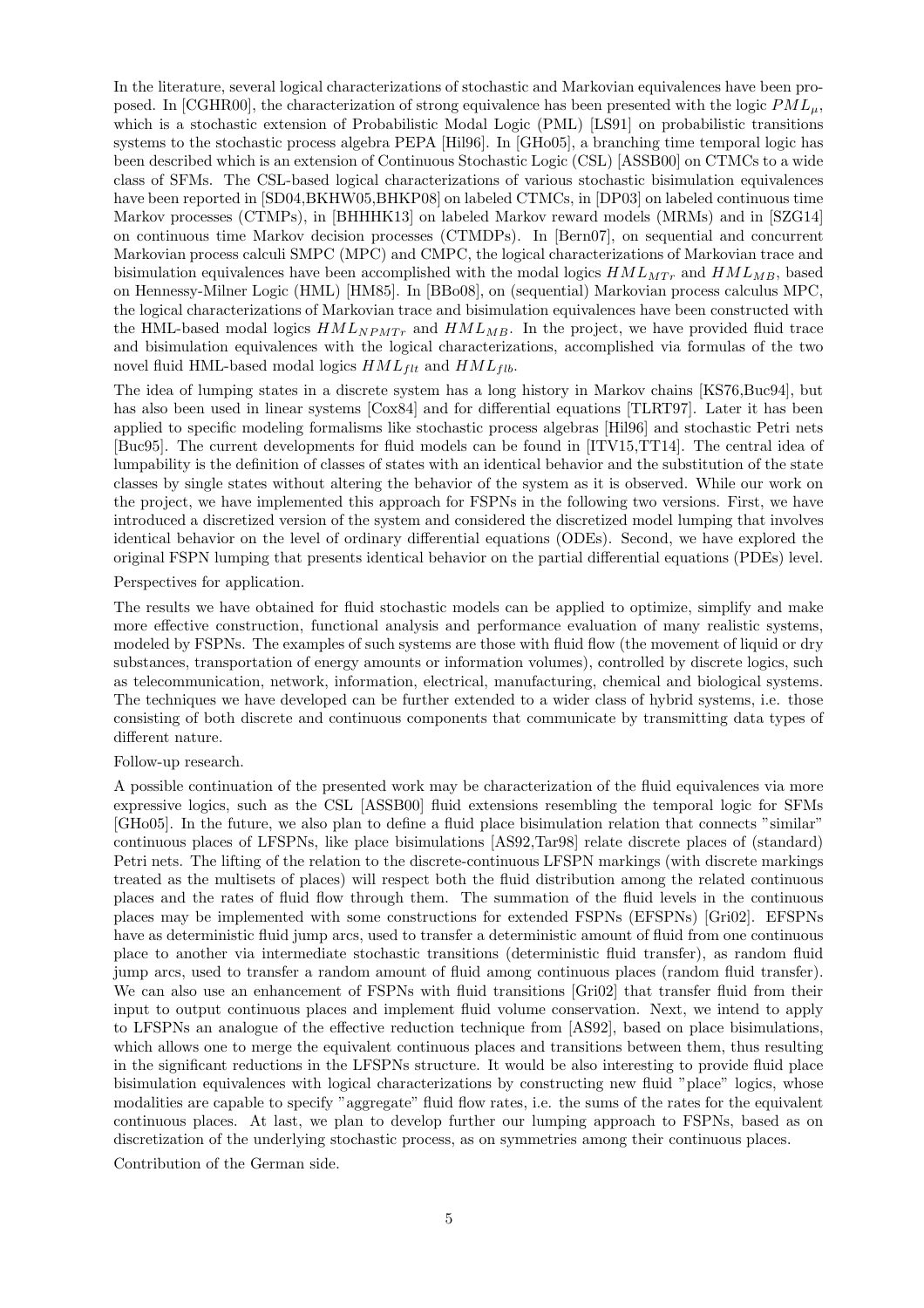In the literature, several logical characterizations of stochastic and Markovian equivalences have been proposed. In [CGHR00], the characterization of strong equivalence has been presented with the logic  $PML_{\mu}$ , which is a stochastic extension of Probabilistic Modal Logic (PML) [LS91] on probabilistic transitions systems to the stochastic process algebra PEPA [Hil96]. In [GHo05], a branching time temporal logic has been described which is an extension of Continuous Stochastic Logic (CSL) [ASSB00] on CTMCs to a wide class of SFMs. The CSL-based logical characterizations of various stochastic bisimulation equivalences have been reported in [SD04,BKHW05,BHKP08] on labeled CTMCs, in [DP03] on labeled continuous time Markov processes (CTMPs), in [BHHHK13] on labeled Markov reward models (MRMs) and in [SZG14] on continuous time Markov decision processes (CTMDPs). In [Bern07], on sequential and concurrent Markovian process calculi SMPC (MPC) and CMPC, the logical characterizations of Markovian trace and bisimulation equivalences have been accomplished with the modal logics  $HML_{MTr}$  and  $HML_{MB}$ , based on Hennessy-Milner Logic (HML) [HM85]. In [BBo08], on (sequential) Markovian process calculus MPC, the logical characterizations of Markovian trace and bisimulation equivalences have been constructed with the HML-based modal logics  $HML_{NPMT}$  and  $HML_{MB}$ . In the project, we have provided fluid trace and bisimulation equivalences with the logical characterizations, accomplished via formulas of the two novel fluid HML-based modal logics  $HML_{filt}$  and  $HML_{fib}$ .

The idea of lumping states in a discrete system has a long history in Markov chains [KS76,Buc94], but has also been used in linear systems [Cox84] and for differential equations [TLRT97]. Later it has been applied to specific modeling formalisms like stochastic process algebras [Hil96] and stochastic Petri nets [Buc95]. The current developments for fluid models can be found in [ITV15,TT14]. The central idea of lumpability is the definition of classes of states with an identical behavior and the substitution of the state classes by single states without altering the behavior of the system as it is observed. While our work on the project, we have implemented this approach for FSPNs in the following two versions. First, we have introduced a discretized version of the system and considered the discretized model lumping that involves identical behavior on the level of ordinary differential equations (ODEs). Second, we have explored the original FSPN lumping that presents identical behavior on the partial differential equations (PDEs) level.

Perspectives for application.

The results we have obtained for fluid stochastic models can be applied to optimize, simplify and make more effective construction, functional analysis and performance evaluation of many realistic systems, modeled by FSPNs. The examples of such systems are those with fluid flow (the movement of liquid or dry substances, transportation of energy amounts or information volumes), controlled by discrete logics, such as telecommunication, network, information, electrical, manufacturing, chemical and biological systems. The techniques we have developed can be further extended to a wider class of hybrid systems, i.e. those consisting of both discrete and continuous components that communicate by transmitting data types of different nature.

#### Follow-up research.

A possible continuation of the presented work may be characterization of the fluid equivalences via more expressive logics, such as the CSL [ASSB00] fluid extensions resembling the temporal logic for SFMs [GHo05]. In the future, we also plan to define a fluid place bisimulation relation that connects "similar" continuous places of LFSPNs, like place bisimulations [AS92,Tar98] relate discrete places of (standard) Petri nets. The lifting of the relation to the discrete-continuous LFSPN markings (with discrete markings treated as the multisets of places) will respect both the fluid distribution among the related continuous places and the rates of fluid flow through them. The summation of the fluid levels in the continuous places may be implemented with some constructions for extended FSPNs (EFSPNs) [Gri02]. EFSPNs have as deterministic fluid jump arcs, used to transfer a deterministic amount of fluid from one continuous place to another via intermediate stochastic transitions (deterministic fluid transfer), as random fluid jump arcs, used to transfer a random amount of fluid among continuous places (random fluid transfer). We can also use an enhancement of FSPNs with fluid transitions [Gri02] that transfer fluid from their input to output continuous places and implement fluid volume conservation. Next, we intend to apply to LFSPNs an analogue of the effective reduction technique from [AS92], based on place bisimulations, which allows one to merge the equivalent continuous places and transitions between them, thus resulting in the significant reductions in the LFSPNs structure. It would be also interesting to provide fluid place bisimulation equivalences with logical characterizations by constructing new fluid "place" logics, whose modalities are capable to specify "aggregate" fluid flow rates, i.e. the sums of the rates for the equivalent continuous places. At last, we plan to develop further our lumping approach to FSPNs, based as on discretization of the underlying stochastic process, as on symmetries among their continuous places.

Contribution of the German side.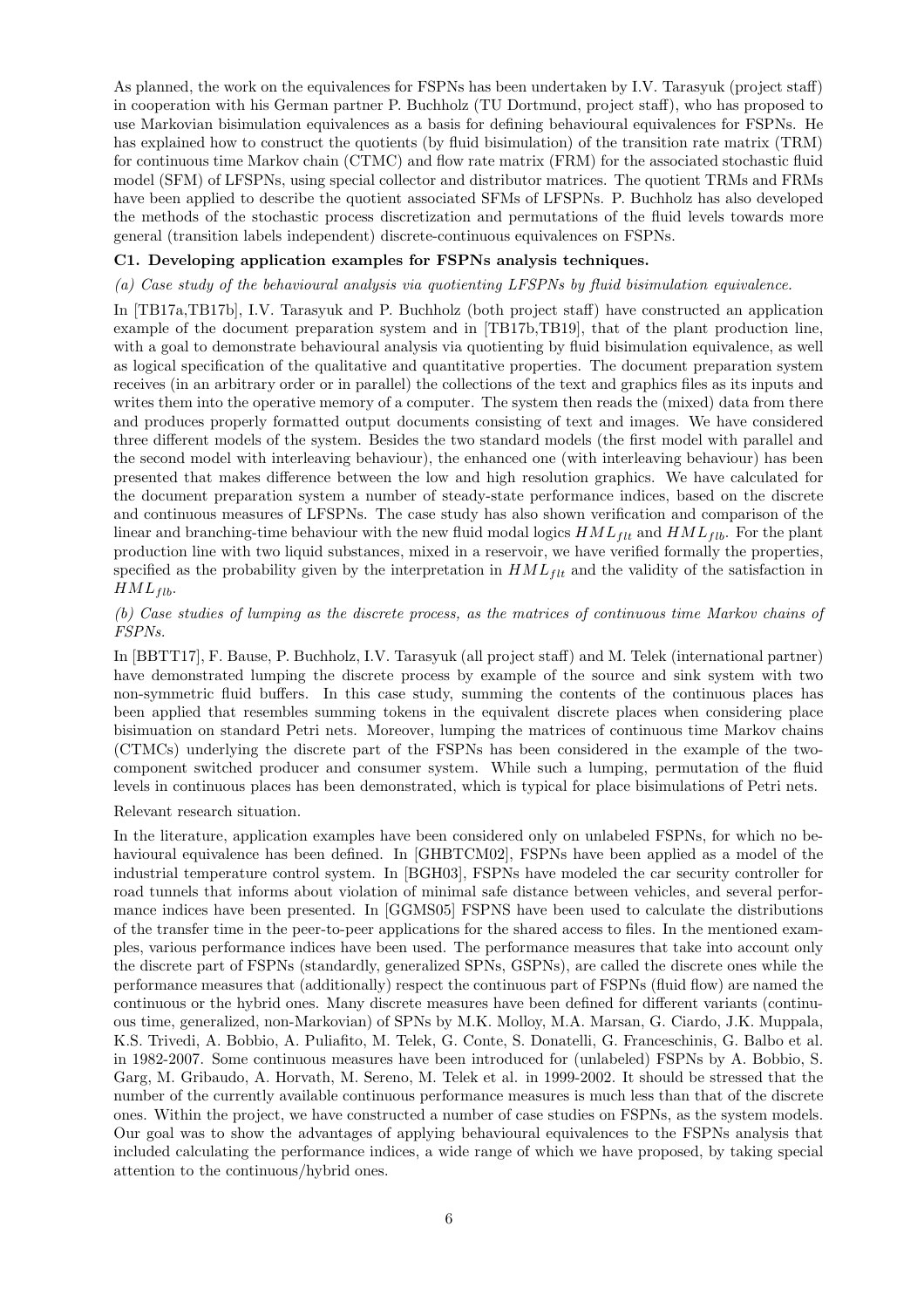As planned, the work on the equivalences for FSPNs has been undertaken by I.V. Tarasyuk (project staff) in cooperation with his German partner P. Buchholz (TU Dortmund, project staff), who has proposed to use Markovian bisimulation equivalences as a basis for defining behavioural equivalences for FSPNs. He has explained how to construct the quotients (by fluid bisimulation) of the transition rate matrix (TRM) for continuous time Markov chain (CTMC) and flow rate matrix (FRM) for the associated stochastic fluid model (SFM) of LFSPNs, using special collector and distributor matrices. The quotient TRMs and FRMs have been applied to describe the quotient associated SFMs of LFSPNs. P. Buchholz has also developed the methods of the stochastic process discretization and permutations of the fluid levels towards more general (transition labels independent) discrete-continuous equivalences on FSPNs.

#### C1. Developing application examples for FSPNs analysis techniques.

(a) Case study of the behavioural analysis via quotienting LFSPNs by fluid bisimulation equivalence.

In [TB17a,TB17b], I.V. Tarasyuk and P. Buchholz (both project staff) have constructed an application example of the document preparation system and in [TB17b,TB19], that of the plant production line, with a goal to demonstrate behavioural analysis via quotienting by fluid bisimulation equivalence, as well as logical specification of the qualitative and quantitative properties. The document preparation system receives (in an arbitrary order or in parallel) the collections of the text and graphics files as its inputs and writes them into the operative memory of a computer. The system then reads the (mixed) data from there and produces properly formatted output documents consisting of text and images. We have considered three different models of the system. Besides the two standard models (the first model with parallel and the second model with interleaving behaviour), the enhanced one (with interleaving behaviour) has been presented that makes difference between the low and high resolution graphics. We have calculated for the document preparation system a number of steady-state performance indices, based on the discrete and continuous measures of LFSPNs. The case study has also shown verification and comparison of the linear and branching-time behaviour with the new fluid modal logics  $HML_{flt}$  and  $HML_{flb}$ . For the plant production line with two liquid substances, mixed in a reservoir, we have verified formally the properties, specified as the probability given by the interpretation in  $HML_{ft}$  and the validity of the satisfaction in  $HML_{fib}.$ 

## (b) Case studies of lumping as the discrete process, as the matrices of continuous time Markov chains of FSPNs.

In [BBTT17], F. Bause, P. Buchholz, I.V. Tarasyuk (all project staff) and M. Telek (international partner) have demonstrated lumping the discrete process by example of the source and sink system with two non-symmetric fluid buffers. In this case study, summing the contents of the continuous places has been applied that resembles summing tokens in the equivalent discrete places when considering place bisimuation on standard Petri nets. Moreover, lumping the matrices of continuous time Markov chains (CTMCs) underlying the discrete part of the FSPNs has been considered in the example of the twocomponent switched producer and consumer system. While such a lumping, permutation of the fluid levels in continuous places has been demonstrated, which is typical for place bisimulations of Petri nets.

Relevant research situation.

In the literature, application examples have been considered only on unlabeled FSPNs, for which no behavioural equivalence has been defined. In [GHBTCM02], FSPNs have been applied as a model of the industrial temperature control system. In [BGH03], FSPNs have modeled the car security controller for road tunnels that informs about violation of minimal safe distance between vehicles, and several performance indices have been presented. In [GGMS05] FSPNS have been used to calculate the distributions of the transfer time in the peer-to-peer applications for the shared access to files. In the mentioned examples, various performance indices have been used. The performance measures that take into account only the discrete part of FSPNs (standardly, generalized SPNs, GSPNs), are called the discrete ones while the performance measures that (additionally) respect the continuous part of FSPNs (fluid flow) are named the continuous or the hybrid ones. Many discrete measures have been defined for different variants (continuous time, generalized, non-Markovian) of SPNs by M.K. Molloy, M.A. Marsan, G. Ciardo, J.K. Muppala, K.S. Trivedi, A. Bobbio, A. Puliafito, M. Telek, G. Conte, S. Donatelli, G. Franceschinis, G. Balbo et al. in 1982-2007. Some continuous measures have been introduced for (unlabeled) FSPNs by A. Bobbio, S. Garg, M. Gribaudo, A. Horvath, M. Sereno, M. Telek et al. in 1999-2002. It should be stressed that the number of the currently available continuous performance measures is much less than that of the discrete ones. Within the project, we have constructed a number of case studies on FSPNs, as the system models. Our goal was to show the advantages of applying behavioural equivalences to the FSPNs analysis that included calculating the performance indices, a wide range of which we have proposed, by taking special attention to the continuous/hybrid ones.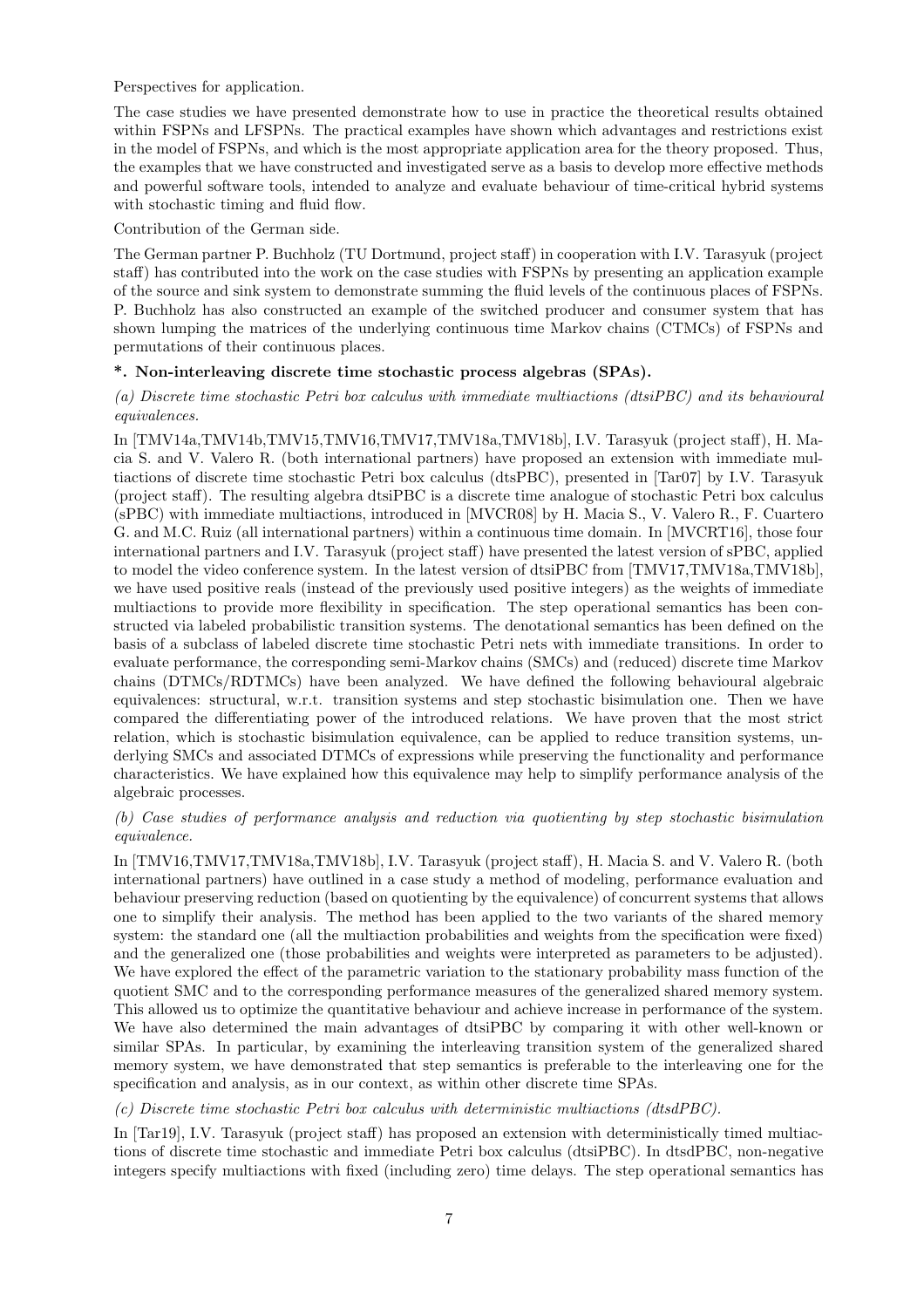Perspectives for application.

The case studies we have presented demonstrate how to use in practice the theoretical results obtained within FSPNs and LFSPNs. The practical examples have shown which advantages and restrictions exist in the model of FSPNs, and which is the most appropriate application area for the theory proposed. Thus, the examples that we have constructed and investigated serve as a basis to develop more effective methods and powerful software tools, intended to analyze and evaluate behaviour of time-critical hybrid systems with stochastic timing and fluid flow.

Contribution of the German side.

The German partner P. Buchholz (TU Dortmund, project staff) in cooperation with I.V. Tarasyuk (project staff) has contributed into the work on the case studies with FSPNs by presenting an application example of the source and sink system to demonstrate summing the fluid levels of the continuous places of FSPNs. P. Buchholz has also constructed an example of the switched producer and consumer system that has shown lumping the matrices of the underlying continuous time Markov chains (CTMCs) of FSPNs and permutations of their continuous places.

## \*. Non-interleaving discrete time stochastic process algebras (SPAs).

## (a) Discrete time stochastic Petri box calculus with immediate multiactions (dtsiPBC) and its behavioural equivalences.

In [TMV14a,TMV14b,TMV15,TMV16,TMV17,TMV18a,TMV18b], I.V. Tarasyuk (project staff), H. Macia S. and V. Valero R. (both international partners) have proposed an extension with immediate multiactions of discrete time stochastic Petri box calculus (dtsPBC), presented in [Tar07] by I.V. Tarasyuk (project staff). The resulting algebra dtsiPBC is a discrete time analogue of stochastic Petri box calculus (sPBC) with immediate multiactions, introduced in [MVCR08] by H. Macia S., V. Valero R., F. Cuartero G. and M.C. Ruiz (all international partners) within a continuous time domain. In [MVCRT16], those four international partners and I.V. Tarasyuk (project staff) have presented the latest version of sPBC, applied to model the video conference system. In the latest version of dtsiPBC from [TMV17,TMV18a,TMV18b], we have used positive reals (instead of the previously used positive integers) as the weights of immediate multiactions to provide more flexibility in specification. The step operational semantics has been constructed via labeled probabilistic transition systems. The denotational semantics has been defined on the basis of a subclass of labeled discrete time stochastic Petri nets with immediate transitions. In order to evaluate performance, the corresponding semi-Markov chains (SMCs) and (reduced) discrete time Markov chains (DTMCs/RDTMCs) have been analyzed. We have defined the following behavioural algebraic equivalences: structural, w.r.t. transition systems and step stochastic bisimulation one. Then we have compared the differentiating power of the introduced relations. We have proven that the most strict relation, which is stochastic bisimulation equivalence, can be applied to reduce transition systems, underlying SMCs and associated DTMCs of expressions while preserving the functionality and performance characteristics. We have explained how this equivalence may help to simplify performance analysis of the algebraic processes.

## (b) Case studies of performance analysis and reduction via quotienting by step stochastic bisimulation equivalence.

In [TMV16,TMV17,TMV18a,TMV18b], I.V. Tarasyuk (project staff), H. Macia S. and V. Valero R. (both international partners) have outlined in a case study a method of modeling, performance evaluation and behaviour preserving reduction (based on quotienting by the equivalence) of concurrent systems that allows one to simplify their analysis. The method has been applied to the two variants of the shared memory system: the standard one (all the multiaction probabilities and weights from the specification were fixed) and the generalized one (those probabilities and weights were interpreted as parameters to be adjusted). We have explored the effect of the parametric variation to the stationary probability mass function of the quotient SMC and to the corresponding performance measures of the generalized shared memory system. This allowed us to optimize the quantitative behaviour and achieve increase in performance of the system. We have also determined the main advantages of dtsiPBC by comparing it with other well-known or similar SPAs. In particular, by examining the interleaving transition system of the generalized shared memory system, we have demonstrated that step semantics is preferable to the interleaving one for the specification and analysis, as in our context, as within other discrete time SPAs.

(c) Discrete time stochastic Petri box calculus with deterministic multiactions (dtsdPBC).

In [Tar19], I.V. Tarasyuk (project staff) has proposed an extension with deterministically timed multiactions of discrete time stochastic and immediate Petri box calculus (dtsiPBC). In dtsdPBC, non-negative integers specify multiactions with fixed (including zero) time delays. The step operational semantics has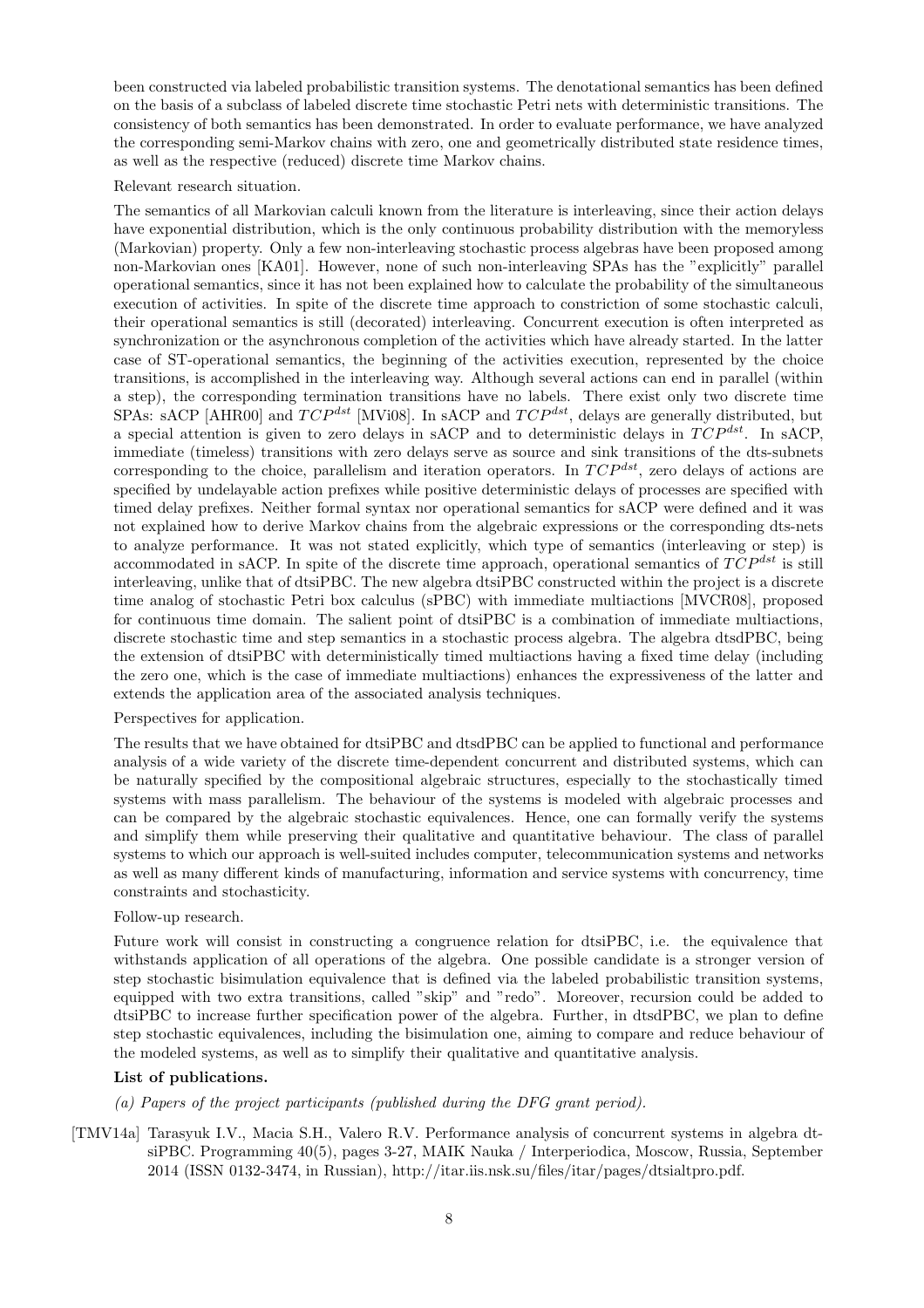been constructed via labeled probabilistic transition systems. The denotational semantics has been defined on the basis of a subclass of labeled discrete time stochastic Petri nets with deterministic transitions. The consistency of both semantics has been demonstrated. In order to evaluate performance, we have analyzed the corresponding semi-Markov chains with zero, one and geometrically distributed state residence times, as well as the respective (reduced) discrete time Markov chains.

Relevant research situation.

The semantics of all Markovian calculi known from the literature is interleaving, since their action delays have exponential distribution, which is the only continuous probability distribution with the memoryless (Markovian) property. Only a few non-interleaving stochastic process algebras have been proposed among non-Markovian ones [KA01]. However, none of such non-interleaving SPAs has the "explicitly" parallel operational semantics, since it has not been explained how to calculate the probability of the simultaneous execution of activities. In spite of the discrete time approach to constriction of some stochastic calculi, their operational semantics is still (decorated) interleaving. Concurrent execution is often interpreted as synchronization or the asynchronous completion of the activities which have already started. In the latter case of ST-operational semantics, the beginning of the activities execution, represented by the choice transitions, is accomplished in the interleaving way. Although several actions can end in parallel (within a step), the corresponding termination transitions have no labels. There exist only two discrete time SPAs: sACP [AHR00] and  $TCP^{dst}$  [MVi08]. In sACP and  $TCP^{dst}$ , delays are generally distributed, but a special attention is given to zero delays in sACP and to deterministic delays in  $TCP^{dst}$ . In sACP, immediate (timeless) transitions with zero delays serve as source and sink transitions of the dts-subnets corresponding to the choice, parallelism and iteration operators. In  $TCP^{dst}$ , zero delays of actions are specified by undelayable action prefixes while positive deterministic delays of processes are specified with timed delay prefixes. Neither formal syntax nor operational semantics for sACP were defined and it was not explained how to derive Markov chains from the algebraic expressions or the corresponding dts-nets to analyze performance. It was not stated explicitly, which type of semantics (interleaving or step) is accommodated in sACP. In spite of the discrete time approach, operational semantics of  $TCP^{dst}$  is still interleaving, unlike that of dtsiPBC. The new algebra dtsiPBC constructed within the project is a discrete time analog of stochastic Petri box calculus (sPBC) with immediate multiactions [MVCR08], proposed for continuous time domain. The salient point of dtsiPBC is a combination of immediate multiactions, discrete stochastic time and step semantics in a stochastic process algebra. The algebra dtsdPBC, being the extension of dtsiPBC with deterministically timed multiactions having a fixed time delay (including the zero one, which is the case of immediate multiactions) enhances the expressiveness of the latter and extends the application area of the associated analysis techniques.

#### Perspectives for application.

The results that we have obtained for dtsiPBC and dtsdPBC can be applied to functional and performance analysis of a wide variety of the discrete time-dependent concurrent and distributed systems, which can be naturally specified by the compositional algebraic structures, especially to the stochastically timed systems with mass parallelism. The behaviour of the systems is modeled with algebraic processes and can be compared by the algebraic stochastic equivalences. Hence, one can formally verify the systems and simplify them while preserving their qualitative and quantitative behaviour. The class of parallel systems to which our approach is well-suited includes computer, telecommunication systems and networks as well as many different kinds of manufacturing, information and service systems with concurrency, time constraints and stochasticity.

#### Follow-up research.

Future work will consist in constructing a congruence relation for dtsiPBC, i.e. the equivalence that withstands application of all operations of the algebra. One possible candidate is a stronger version of step stochastic bisimulation equivalence that is defined via the labeled probabilistic transition systems, equipped with two extra transitions, called "skip" and "redo". Moreover, recursion could be added to dtsiPBC to increase further specification power of the algebra. Further, in dtsdPBC, we plan to define step stochastic equivalences, including the bisimulation one, aiming to compare and reduce behaviour of the modeled systems, as well as to simplify their qualitative and quantitative analysis.

#### List of publications.

- (a) Papers of the project participants (published during the DFG grant period).
- [TMV14a] Tarasyuk I.V., Macia S.H., Valero R.V. Performance analysis of concurrent systems in algebra dtsiPBC. Programming 40(5), pages 3-27, MAIK Nauka / Interperiodica, Moscow, Russia, September 2014 (ISSN 0132-3474, in Russian), http://itar.iis.nsk.su/files/itar/pages/dtsialtpro.pdf.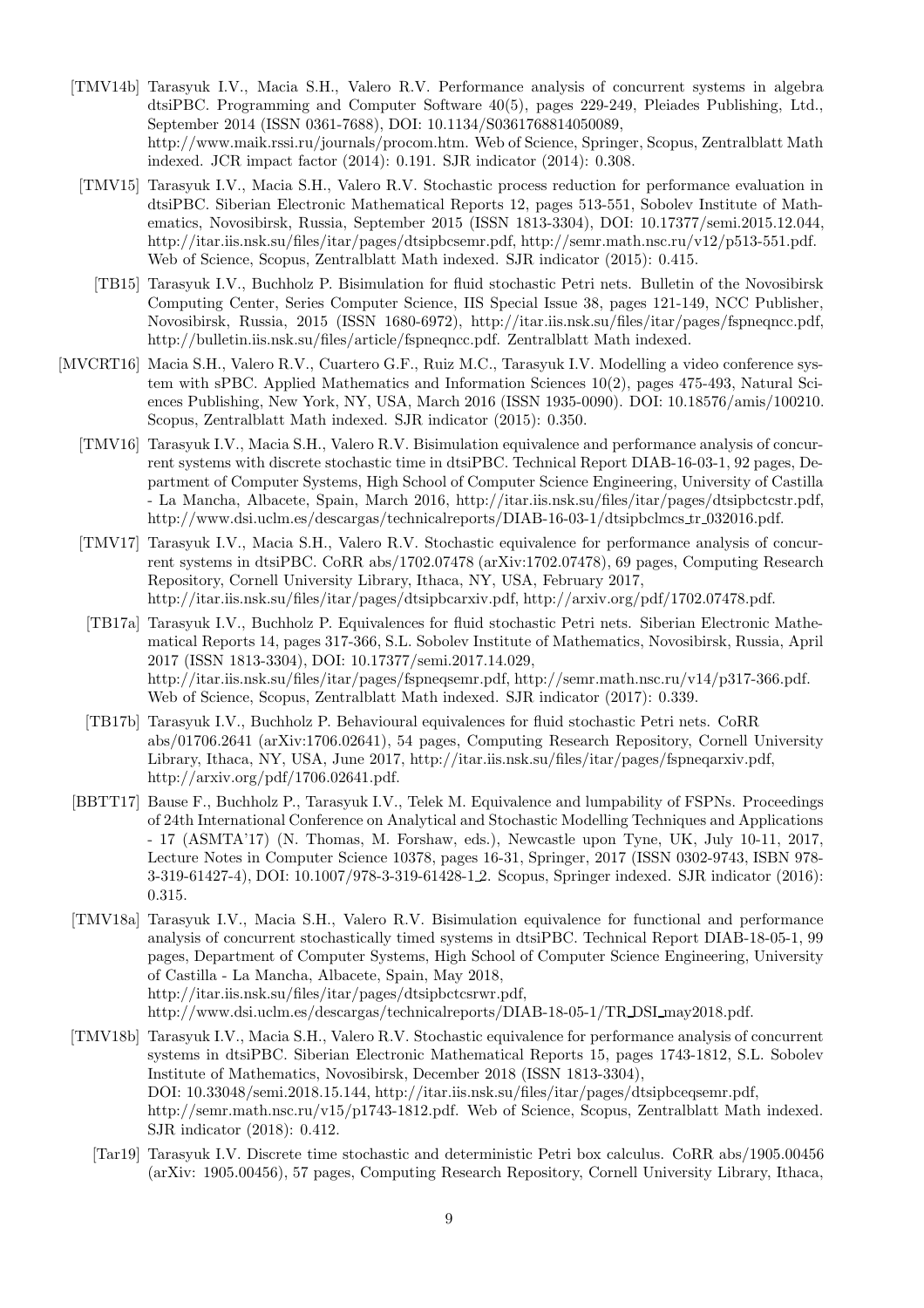- [TMV14b] Tarasyuk I.V., Macia S.H., Valero R.V. Performance analysis of concurrent systems in algebra dtsiPBC. Programming and Computer Software 40(5), pages 229-249, Pleiades Publishing, Ltd., September 2014 (ISSN 0361-7688), DOI: 10.1134/S0361768814050089, http://www.maik.rssi.ru/journals/procom.htm. Web of Science, Springer, Scopus, Zentralblatt Math indexed. JCR impact factor (2014): 0.191. SJR indicator (2014): 0.308.
- [TMV15] Tarasyuk I.V., Macia S.H., Valero R.V. Stochastic process reduction for performance evaluation in dtsiPBC. Siberian Electronic Mathematical Reports 12, pages 513-551, Sobolev Institute of Mathematics, Novosibirsk, Russia, September 2015 (ISSN 1813-3304), DOI: 10.17377/semi.2015.12.044, http://itar.iis.nsk.su/files/itar/pages/dtsipbcsemr.pdf, http://semr.math.nsc.ru/v12/p513-551.pdf. Web of Science, Scopus, Zentralblatt Math indexed. SJR indicator (2015): 0.415.
	- [TB15] Tarasyuk I.V., Buchholz P. Bisimulation for fluid stochastic Petri nets. Bulletin of the Novosibirsk Computing Center, Series Computer Science, IIS Special Issue 38, pages 121-149, NCC Publisher, Novosibirsk, Russia, 2015 (ISSN 1680-6972), http://itar.iis.nsk.su/files/itar/pages/fspneqncc.pdf, http://bulletin.iis.nsk.su/files/article/fspneqncc.pdf. Zentralblatt Math indexed.
- [MVCRT16] Macia S.H., Valero R.V., Cuartero G.F., Ruiz M.C., Tarasyuk I.V. Modelling a video conference system with sPBC. Applied Mathematics and Information Sciences 10(2), pages 475-493, Natural Sciences Publishing, New York, NY, USA, March 2016 (ISSN 1935-0090). DOI: 10.18576/amis/100210. Scopus, Zentralblatt Math indexed. SJR indicator (2015): 0.350.
	- [TMV16] Tarasyuk I.V., Macia S.H., Valero R.V. Bisimulation equivalence and performance analysis of concurrent systems with discrete stochastic time in dtsiPBC. Technical Report DIAB-16-03-1, 92 pages, Department of Computer Systems, High School of Computer Science Engineering, University of Castilla - La Mancha, Albacete, Spain, March 2016, http://itar.iis.nsk.su/files/itar/pages/dtsipbctcstr.pdf, http://www.dsi.uclm.es/descargas/technicalreports/DIAB-16-03-1/dtsipbclmcs tr 032016.pdf.
	- [TMV17] Tarasyuk I.V., Macia S.H., Valero R.V. Stochastic equivalence for performance analysis of concurrent systems in dtsiPBC. CoRR abs/1702.07478 (arXiv:1702.07478), 69 pages, Computing Research Repository, Cornell University Library, Ithaca, NY, USA, February 2017, http://itar.iis.nsk.su/files/itar/pages/dtsipbcarxiv.pdf, http://arxiv.org/pdf/1702.07478.pdf.
	- [TB17a] Tarasyuk I.V., Buchholz P. Equivalences for fluid stochastic Petri nets. Siberian Electronic Mathematical Reports 14, pages 317-366, S.L. Sobolev Institute of Mathematics, Novosibirsk, Russia, April 2017 (ISSN 1813-3304), DOI: 10.17377/semi.2017.14.029, http://itar.iis.nsk.su/files/itar/pages/fspneqsemr.pdf, http://semr.math.nsc.ru/v14/p317-366.pdf. Web of Science, Scopus, Zentralblatt Math indexed. SJR indicator (2017): 0.339.
	- [TB17b] Tarasyuk I.V., Buchholz P. Behavioural equivalences for fluid stochastic Petri nets. CoRR abs/01706.2641 (arXiv:1706.02641), 54 pages, Computing Research Repository, Cornell University Library, Ithaca, NY, USA, June 2017, http://itar.iis.nsk.su/files/itar/pages/fspneqarxiv.pdf, http://arxiv.org/pdf/1706.02641.pdf.
	- [BBTT17] Bause F., Buchholz P., Tarasyuk I.V., Telek M. Equivalence and lumpability of FSPNs. Proceedings of 24th International Conference on Analytical and Stochastic Modelling Techniques and Applications - 17 (ASMTA'17) (N. Thomas, M. Forshaw, eds.), Newcastle upon Tyne, UK, July 10-11, 2017, Lecture Notes in Computer Science 10378, pages 16-31, Springer, 2017 (ISSN 0302-9743, ISBN 978- 3-319-61427-4), DOI: 10.1007/978-3-319-61428-1 2. Scopus, Springer indexed. SJR indicator (2016): 0.315.
	- [TMV18a] Tarasyuk I.V., Macia S.H., Valero R.V. Bisimulation equivalence for functional and performance analysis of concurrent stochastically timed systems in dtsiPBC. Technical Report DIAB-18-05-1, 99 pages, Department of Computer Systems, High School of Computer Science Engineering, University of Castilla - La Mancha, Albacete, Spain, May 2018, http://itar.iis.nsk.su/files/itar/pages/dtsipbctcsrwr.pdf, http://www.dsi.uclm.es/descargas/technicalreports/DIAB-18-05-1/TR DSI may2018.pdf.
	- [TMV18b] Tarasyuk I.V., Macia S.H., Valero R.V. Stochastic equivalence for performance analysis of concurrent systems in dtsiPBC. Siberian Electronic Mathematical Reports 15, pages 1743-1812, S.L. Sobolev Institute of Mathematics, Novosibirsk, December 2018 (ISSN 1813-3304), DOI: 10.33048/semi.2018.15.144, http://itar.iis.nsk.su/files/itar/pages/dtsipbceqsemr.pdf, http://semr.math.nsc.ru/v15/p1743-1812.pdf. Web of Science, Scopus, Zentralblatt Math indexed. SJR indicator (2018): 0.412.
		- [Tar19] Tarasyuk I.V. Discrete time stochastic and deterministic Petri box calculus. CoRR abs/1905.00456 (arXiv: 1905.00456), 57 pages, Computing Research Repository, Cornell University Library, Ithaca,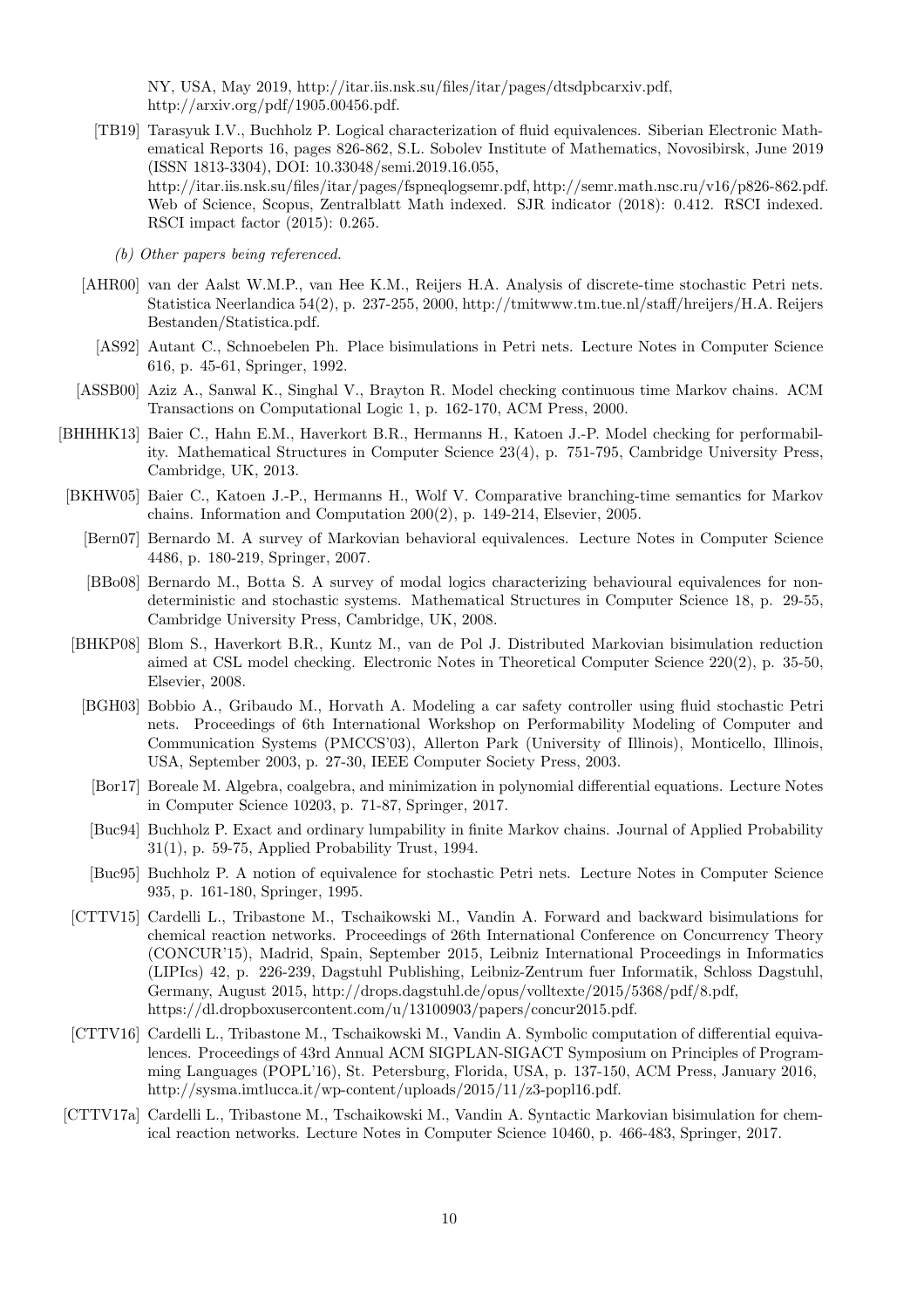NY, USA, May 2019, http://itar.iis.nsk.su/files/itar/pages/dtsdpbcarxiv.pdf, http://arxiv.org/pdf/1905.00456.pdf.

- [TB19] Tarasyuk I.V., Buchholz P. Logical characterization of fluid equivalences. Siberian Electronic Mathematical Reports 16, pages 826-862, S.L. Sobolev Institute of Mathematics, Novosibirsk, June 2019 (ISSN 1813-3304), DOI: 10.33048/semi.2019.16.055, http://itar.iis.nsk.su/files/itar/pages/fspneqlogsemr.pdf, http://semr.math.nsc.ru/v16/p826-862.pdf. Web of Science, Scopus, Zentralblatt Math indexed. SJR indicator (2018): 0.412. RSCI indexed. RSCI impact factor (2015): 0.265.
	- (b) Other papers being referenced.
- [AHR00] van der Aalst W.M.P., van Hee K.M., Reijers H.A. Analysis of discrete-time stochastic Petri nets. Statistica Neerlandica 54(2), p. 237-255, 2000, http://tmitwww.tm.tue.nl/staff/hreijers/H.A. Reijers Bestanden/Statistica.pdf.
	- [AS92] Autant C., Schnoebelen Ph. Place bisimulations in Petri nets. Lecture Notes in Computer Science 616, p. 45-61, Springer, 1992.
- [ASSB00] Aziz A., Sanwal K., Singhal V., Brayton R. Model checking continuous time Markov chains. ACM Transactions on Computational Logic 1, p. 162-170, ACM Press, 2000.
- [BHHHK13] Baier C., Hahn E.M., Haverkort B.R., Hermanns H., Katoen J.-P. Model checking for performability. Mathematical Structures in Computer Science 23(4), p. 751-795, Cambridge University Press, Cambridge, UK, 2013.
- [BKHW05] Baier C., Katoen J.-P., Hermanns H., Wolf V. Comparative branching-time semantics for Markov chains. Information and Computation 200(2), p. 149-214, Elsevier, 2005.
	- [Bern07] Bernardo M. A survey of Markovian behavioral equivalences. Lecture Notes in Computer Science 4486, p. 180-219, Springer, 2007.
	- [BBo08] Bernardo M., Botta S. A survey of modal logics characterizing behavioural equivalences for nondeterministic and stochastic systems. Mathematical Structures in Computer Science 18, p. 29-55, Cambridge University Press, Cambridge, UK, 2008.
- [BHKP08] Blom S., Haverkort B.R., Kuntz M., van de Pol J. Distributed Markovian bisimulation reduction aimed at CSL model checking. Electronic Notes in Theoretical Computer Science 220(2), p. 35-50, Elsevier, 2008.
	- [BGH03] Bobbio A., Gribaudo M., Horvath A. Modeling a car safety controller using fluid stochastic Petri nets. Proceedings of 6th International Workshop on Performability Modeling of Computer and Communication Systems (PMCCS'03), Allerton Park (University of Illinois), Monticello, Illinois, USA, September 2003, p. 27-30, IEEE Computer Society Press, 2003.
		- [Bor17] Boreale M. Algebra, coalgebra, and minimization in polynomial differential equations. Lecture Notes in Computer Science 10203, p. 71-87, Springer, 2017.
	- [Buc94] Buchholz P. Exact and ordinary lumpability in finite Markov chains. Journal of Applied Probability 31(1), p. 59-75, Applied Probability Trust, 1994.
	- [Buc95] Buchholz P. A notion of equivalence for stochastic Petri nets. Lecture Notes in Computer Science 935, p. 161-180, Springer, 1995.
- [CTTV15] Cardelli L., Tribastone M., Tschaikowski M., Vandin A. Forward and backward bisimulations for chemical reaction networks. Proceedings of 26th International Conference on Concurrency Theory (CONCUR'15), Madrid, Spain, September 2015, Leibniz International Proceedings in Informatics (LIPIcs) 42, p. 226-239, Dagstuhl Publishing, Leibniz-Zentrum fuer Informatik, Schloss Dagstuhl, Germany, August 2015, http://drops.dagstuhl.de/opus/volltexte/2015/5368/pdf/8.pdf, https://dl.dropboxusercontent.com/u/13100903/papers/concur2015.pdf.
- [CTTV16] Cardelli L., Tribastone M., Tschaikowski M., Vandin A. Symbolic computation of differential equivalences. Proceedings of 43rd Annual ACM SIGPLAN-SIGACT Symposium on Principles of Programming Languages (POPL'16), St. Petersburg, Florida, USA, p. 137-150, ACM Press, January 2016, http://sysma.imtlucca.it/wp-content/uploads/2015/11/z3-popl16.pdf.
- [CTTV17a] Cardelli L., Tribastone M., Tschaikowski M., Vandin A. Syntactic Markovian bisimulation for chemical reaction networks. Lecture Notes in Computer Science 10460, p. 466-483, Springer, 2017.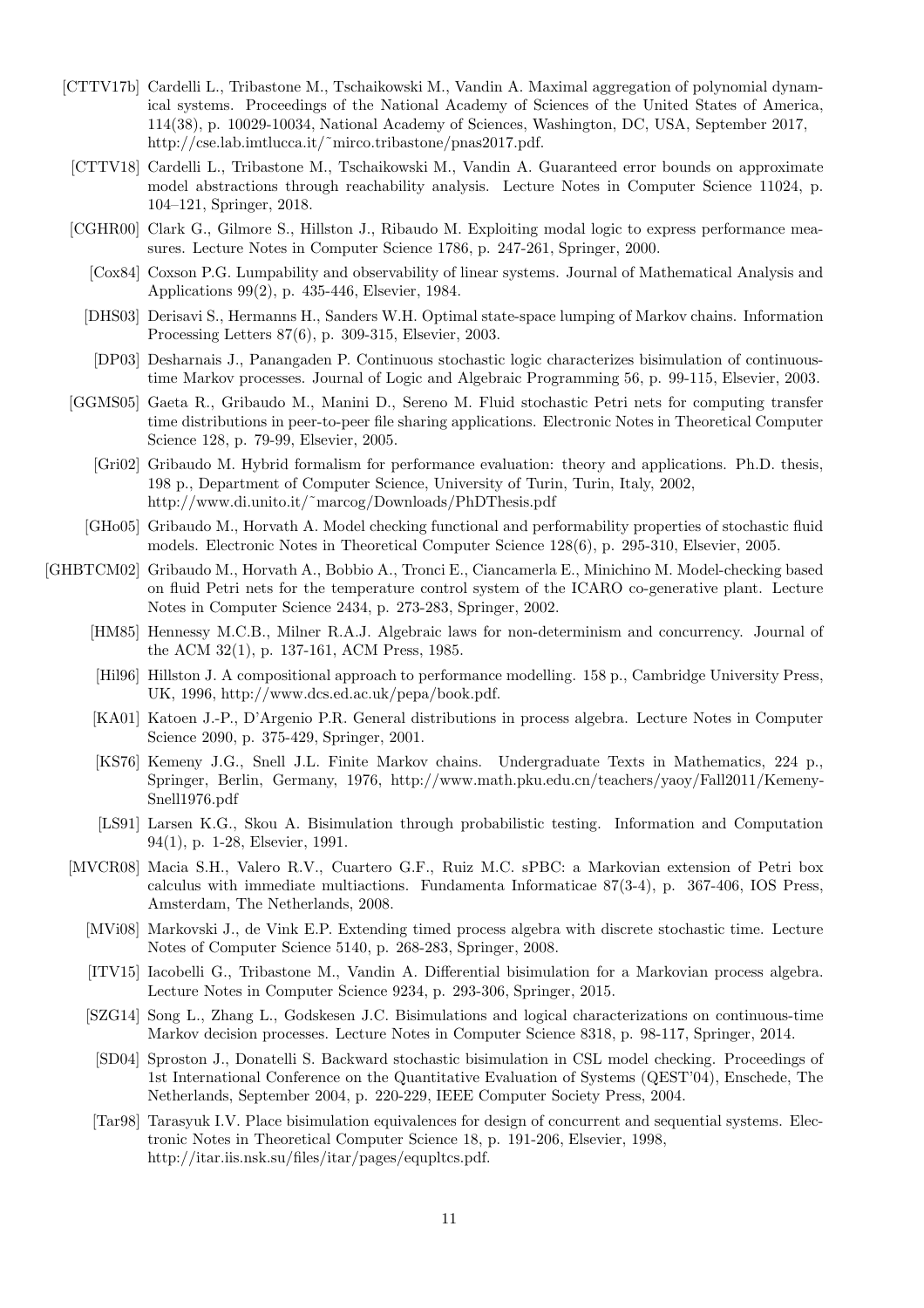- [CTTV17b] Cardelli L., Tribastone M., Tschaikowski M., Vandin A. Maximal aggregation of polynomial dynamical systems. Proceedings of the National Academy of Sciences of the United States of America, 114(38), p. 10029-10034, National Academy of Sciences, Washington, DC, USA, September 2017, http://cse.lab.imtlucca.it/˜mirco.tribastone/pnas2017.pdf.
- [CTTV18] Cardelli L., Tribastone M., Tschaikowski M., Vandin A. Guaranteed error bounds on approximate model abstractions through reachability analysis. Lecture Notes in Computer Science 11024, p. 104–121, Springer, 2018.
- [CGHR00] Clark G., Gilmore S., Hillston J., Ribaudo M. Exploiting modal logic to express performance measures. Lecture Notes in Computer Science 1786, p. 247-261, Springer, 2000.
	- [Cox84] Coxson P.G. Lumpability and observability of linear systems. Journal of Mathematical Analysis and Applications 99(2), p. 435-446, Elsevier, 1984.
	- [DHS03] Derisavi S., Hermanns H., Sanders W.H. Optimal state-space lumping of Markov chains. Information Processing Letters 87(6), p. 309-315, Elsevier, 2003.
	- [DP03] Desharnais J., Panangaden P. Continuous stochastic logic characterizes bisimulation of continuoustime Markov processes. Journal of Logic and Algebraic Programming 56, p. 99-115, Elsevier, 2003.
- [GGMS05] Gaeta R., Gribaudo M., Manini D., Sereno M. Fluid stochastic Petri nets for computing transfer time distributions in peer-to-peer file sharing applications. Electronic Notes in Theoretical Computer Science 128, p. 79-99, Elsevier, 2005.
	- [Gri02] Gribaudo M. Hybrid formalism for performance evaluation: theory and applications. Ph.D. thesis, 198 p., Department of Computer Science, University of Turin, Turin, Italy, 2002, http://www.di.unito.it/˜marcog/Downloads/PhDThesis.pdf
	- [GHo05] Gribaudo M., Horvath A. Model checking functional and performability properties of stochastic fluid models. Electronic Notes in Theoretical Computer Science 128(6), p. 295-310, Elsevier, 2005.
- [GHBTCM02] Gribaudo M., Horvath A., Bobbio A., Tronci E., Ciancamerla E., Minichino M. Model-checking based on fluid Petri nets for the temperature control system of the ICARO co-generative plant. Lecture Notes in Computer Science 2434, p. 273-283, Springer, 2002.
	- [HM85] Hennessy M.C.B., Milner R.A.J. Algebraic laws for non-determinism and concurrency. Journal of the ACM 32(1), p. 137-161, ACM Press, 1985.
	- [Hil96] Hillston J. A compositional approach to performance modelling. 158 p., Cambridge University Press, UK, 1996, http://www.dcs.ed.ac.uk/pepa/book.pdf.
	- [KA01] Katoen J.-P., D'Argenio P.R. General distributions in process algebra. Lecture Notes in Computer Science 2090, p. 375-429, Springer, 2001.
	- [KS76] Kemeny J.G., Snell J.L. Finite Markov chains. Undergraduate Texts in Mathematics, 224 p., Springer, Berlin, Germany, 1976, http://www.math.pku.edu.cn/teachers/yaoy/Fall2011/Kemeny-Snell1976.pdf
	- [LS91] Larsen K.G., Skou A. Bisimulation through probabilistic testing. Information and Computation 94(1), p. 1-28, Elsevier, 1991.
	- [MVCR08] Macia S.H., Valero R.V., Cuartero G.F., Ruiz M.C. sPBC: a Markovian extension of Petri box calculus with immediate multiactions. Fundamenta Informaticae 87(3-4), p. 367-406, IOS Press, Amsterdam, The Netherlands, 2008.
		- [MVi08] Markovski J., de Vink E.P. Extending timed process algebra with discrete stochastic time. Lecture Notes of Computer Science 5140, p. 268-283, Springer, 2008.
		- [ITV15] Iacobelli G., Tribastone M., Vandin A. Differential bisimulation for a Markovian process algebra. Lecture Notes in Computer Science 9234, p. 293-306, Springer, 2015.
		- [SZG14] Song L., Zhang L., Godskesen J.C. Bisimulations and logical characterizations on continuous-time Markov decision processes. Lecture Notes in Computer Science 8318, p. 98-117, Springer, 2014.
		- [SD04] Sproston J., Donatelli S. Backward stochastic bisimulation in CSL model checking. Proceedings of 1st International Conference on the Quantitative Evaluation of Systems (QEST'04), Enschede, The Netherlands, September 2004, p. 220-229, IEEE Computer Society Press, 2004.
		- [Tar98] Tarasyuk I.V. Place bisimulation equivalences for design of concurrent and sequential systems. Electronic Notes in Theoretical Computer Science 18, p. 191-206, Elsevier, 1998, http://itar.iis.nsk.su/files/itar/pages/equpltcs.pdf.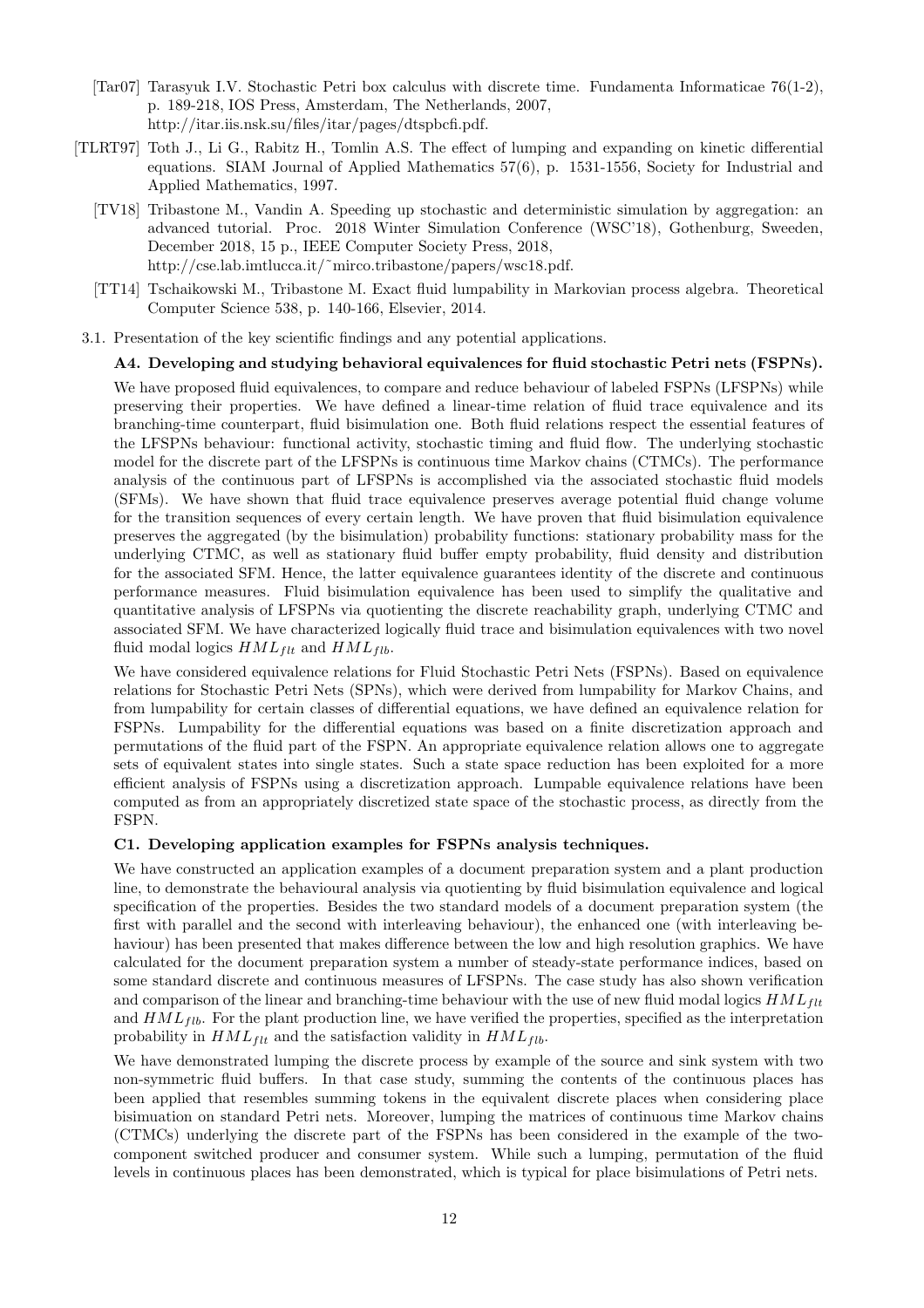- [Tar07] Tarasyuk I.V. Stochastic Petri box calculus with discrete time. Fundamenta Informaticae 76(1-2), p. 189-218, IOS Press, Amsterdam, The Netherlands, 2007, http://itar.iis.nsk.su/files/itar/pages/dtspbcfi.pdf.
- [TLRT97] Toth J., Li G., Rabitz H., Tomlin A.S. The effect of lumping and expanding on kinetic differential equations. SIAM Journal of Applied Mathematics 57(6), p. 1531-1556, Society for Industrial and Applied Mathematics, 1997.
	- [TV18] Tribastone M., Vandin A. Speeding up stochastic and deterministic simulation by aggregation: an advanced tutorial. Proc. 2018 Winter Simulation Conference (WSC'18), Gothenburg, Sweeden, December 2018, 15 p., IEEE Computer Society Press, 2018, http://cse.lab.imtlucca.it/~mirco.tribastone/papers/wsc18.pdf.
	- [TT14] Tschaikowski M., Tribastone M. Exact fluid lumpability in Markovian process algebra. Theoretical Computer Science 538, p. 140-166, Elsevier, 2014.
- 3.1. Presentation of the key scientific findings and any potential applications.

#### A4. Developing and studying behavioral equivalences for fluid stochastic Petri nets (FSPNs).

We have proposed fluid equivalences, to compare and reduce behaviour of labeled FSPNs (LFSPNs) while preserving their properties. We have defined a linear-time relation of fluid trace equivalence and its branching-time counterpart, fluid bisimulation one. Both fluid relations respect the essential features of the LFSPNs behaviour: functional activity, stochastic timing and fluid flow. The underlying stochastic model for the discrete part of the LFSPNs is continuous time Markov chains (CTMCs). The performance analysis of the continuous part of LFSPNs is accomplished via the associated stochastic fluid models (SFMs). We have shown that fluid trace equivalence preserves average potential fluid change volume for the transition sequences of every certain length. We have proven that fluid bisimulation equivalence preserves the aggregated (by the bisimulation) probability functions: stationary probability mass for the underlying CTMC, as well as stationary fluid buffer empty probability, fluid density and distribution for the associated SFM. Hence, the latter equivalence guarantees identity of the discrete and continuous performance measures. Fluid bisimulation equivalence has been used to simplify the qualitative and quantitative analysis of LFSPNs via quotienting the discrete reachability graph, underlying CTMC and associated SFM. We have characterized logically fluid trace and bisimulation equivalences with two novel fluid modal logics  $HML_{flt}$  and  $HML_{flb}$ .

We have considered equivalence relations for Fluid Stochastic Petri Nets (FSPNs). Based on equivalence relations for Stochastic Petri Nets (SPNs), which were derived from lumpability for Markov Chains, and from lumpability for certain classes of differential equations, we have defined an equivalence relation for FSPNs. Lumpability for the differential equations was based on a finite discretization approach and permutations of the fluid part of the FSPN. An appropriate equivalence relation allows one to aggregate sets of equivalent states into single states. Such a state space reduction has been exploited for a more efficient analysis of FSPNs using a discretization approach. Lumpable equivalence relations have been computed as from an appropriately discretized state space of the stochastic process, as directly from the FSPN.

#### C1. Developing application examples for FSPNs analysis techniques.

We have constructed an application examples of a document preparation system and a plant production line, to demonstrate the behavioural analysis via quotienting by fluid bisimulation equivalence and logical specification of the properties. Besides the two standard models of a document preparation system (the first with parallel and the second with interleaving behaviour), the enhanced one (with interleaving behaviour) has been presented that makes difference between the low and high resolution graphics. We have calculated for the document preparation system a number of steady-state performance indices, based on some standard discrete and continuous measures of LFSPNs. The case study has also shown verification and comparison of the linear and branching-time behaviour with the use of new fluid modal logics  $HML_{ft}$ and  $HML_{fib}$ . For the plant production line, we have verified the properties, specified as the interpretation probability in  $HML_{flt}$  and the satisfaction validity in  $HML_{flb}$ .

We have demonstrated lumping the discrete process by example of the source and sink system with two non-symmetric fluid buffers. In that case study, summing the contents of the continuous places has been applied that resembles summing tokens in the equivalent discrete places when considering place bisimuation on standard Petri nets. Moreover, lumping the matrices of continuous time Markov chains (CTMCs) underlying the discrete part of the FSPNs has been considered in the example of the twocomponent switched producer and consumer system. While such a lumping, permutation of the fluid levels in continuous places has been demonstrated, which is typical for place bisimulations of Petri nets.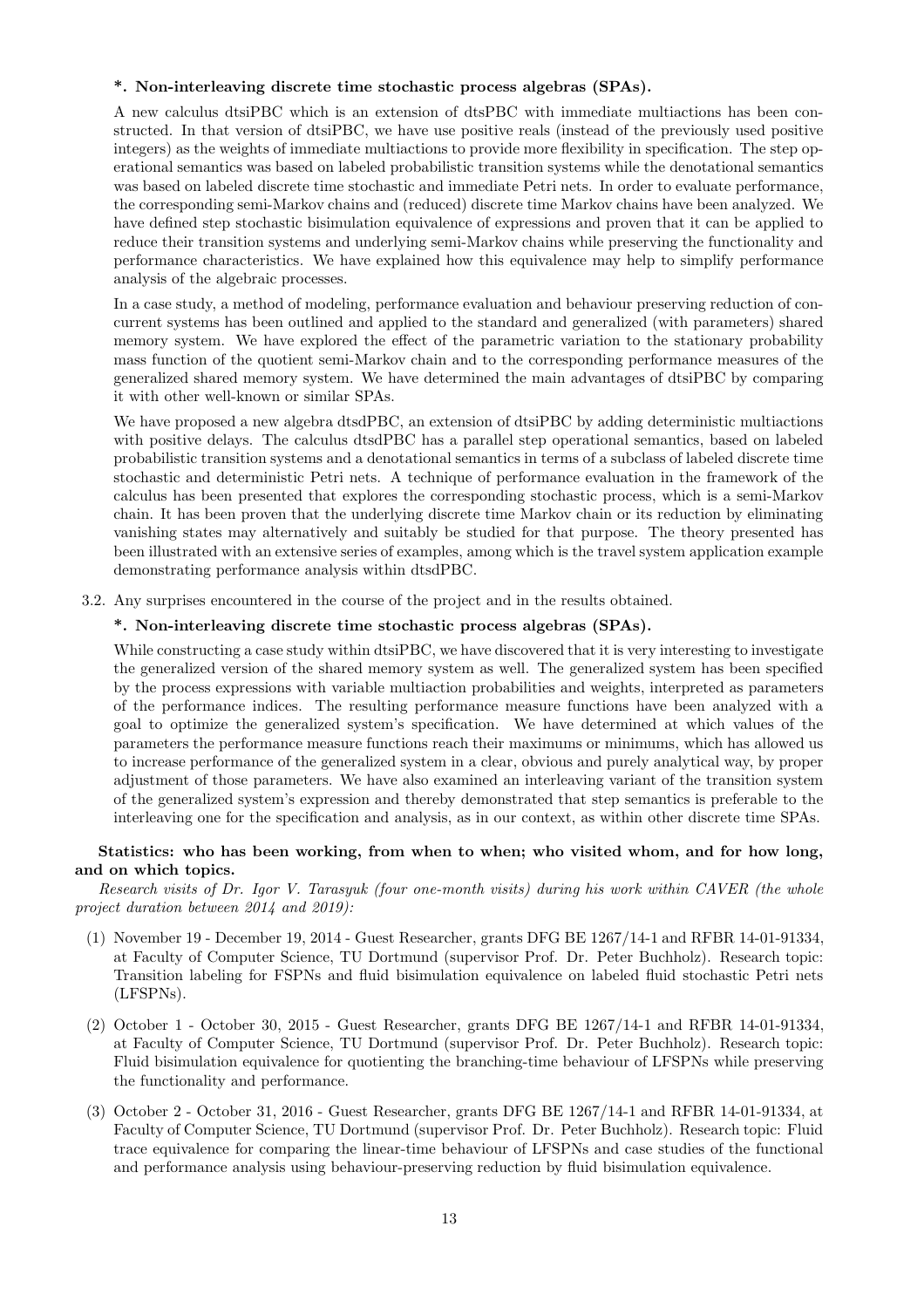#### \*. Non-interleaving discrete time stochastic process algebras (SPAs).

A new calculus dtsiPBC which is an extension of dtsPBC with immediate multiactions has been constructed. In that version of dtsiPBC, we have use positive reals (instead of the previously used positive integers) as the weights of immediate multiactions to provide more flexibility in specification. The step operational semantics was based on labeled probabilistic transition systems while the denotational semantics was based on labeled discrete time stochastic and immediate Petri nets. In order to evaluate performance, the corresponding semi-Markov chains and (reduced) discrete time Markov chains have been analyzed. We have defined step stochastic bisimulation equivalence of expressions and proven that it can be applied to reduce their transition systems and underlying semi-Markov chains while preserving the functionality and performance characteristics. We have explained how this equivalence may help to simplify performance analysis of the algebraic processes.

In a case study, a method of modeling, performance evaluation and behaviour preserving reduction of concurrent systems has been outlined and applied to the standard and generalized (with parameters) shared memory system. We have explored the effect of the parametric variation to the stationary probability mass function of the quotient semi-Markov chain and to the corresponding performance measures of the generalized shared memory system. We have determined the main advantages of dtsiPBC by comparing it with other well-known or similar SPAs.

We have proposed a new algebra dtsdPBC, an extension of dtsiPBC by adding deterministic multiactions with positive delays. The calculus dtsdPBC has a parallel step operational semantics, based on labeled probabilistic transition systems and a denotational semantics in terms of a subclass of labeled discrete time stochastic and deterministic Petri nets. A technique of performance evaluation in the framework of the calculus has been presented that explores the corresponding stochastic process, which is a semi-Markov chain. It has been proven that the underlying discrete time Markov chain or its reduction by eliminating vanishing states may alternatively and suitably be studied for that purpose. The theory presented has been illustrated with an extensive series of examples, among which is the travel system application example demonstrating performance analysis within dtsdPBC.

3.2. Any surprises encountered in the course of the project and in the results obtained.

#### \*. Non-interleaving discrete time stochastic process algebras (SPAs).

While constructing a case study within dtsiPBC, we have discovered that it is very interesting to investigate the generalized version of the shared memory system as well. The generalized system has been specified by the process expressions with variable multiaction probabilities and weights, interpreted as parameters of the performance indices. The resulting performance measure functions have been analyzed with a goal to optimize the generalized system's specification. We have determined at which values of the parameters the performance measure functions reach their maximums or minimums, which has allowed us to increase performance of the generalized system in a clear, obvious and purely analytical way, by proper adjustment of those parameters. We have also examined an interleaving variant of the transition system of the generalized system's expression and thereby demonstrated that step semantics is preferable to the interleaving one for the specification and analysis, as in our context, as within other discrete time SPAs.

#### Statistics: who has been working, from when to when; who visited whom, and for how long, and on which topics.

Research visits of Dr. Igor V. Tarasyuk (four one-month visits) during his work within CAVER (the whole project duration between 2014 and 2019):

- (1) November 19 December 19, 2014 Guest Researcher, grants DFG BE 1267/14-1 and RFBR 14-01-91334, at Faculty of Computer Science, TU Dortmund (supervisor Prof. Dr. Peter Buchholz). Research topic: Transition labeling for FSPNs and fluid bisimulation equivalence on labeled fluid stochastic Petri nets (LFSPNs).
- (2) October 1 October 30, 2015 Guest Researcher, grants DFG BE 1267/14-1 and RFBR 14-01-91334, at Faculty of Computer Science, TU Dortmund (supervisor Prof. Dr. Peter Buchholz). Research topic: Fluid bisimulation equivalence for quotienting the branching-time behaviour of LFSPNs while preserving the functionality and performance.
- (3) October 2 October 31, 2016 Guest Researcher, grants DFG BE 1267/14-1 and RFBR 14-01-91334, at Faculty of Computer Science, TU Dortmund (supervisor Prof. Dr. Peter Buchholz). Research topic: Fluid trace equivalence for comparing the linear-time behaviour of LFSPNs and case studies of the functional and performance analysis using behaviour-preserving reduction by fluid bisimulation equivalence.